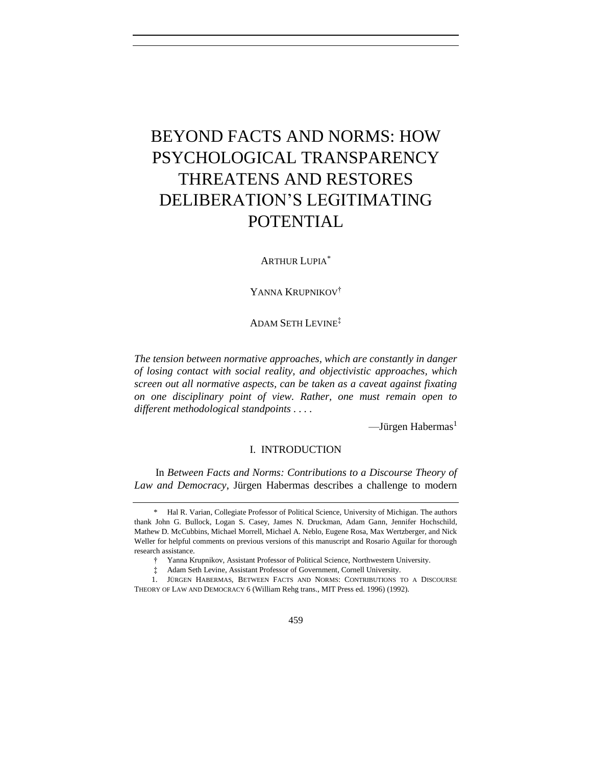# BEYOND FACTS AND NORMS: HOW PSYCHOLOGICAL TRANSPARENCY THREATENS AND RESTORES DELIBERATION'S LEGITIMATING POTENTIAL

# ARTHUR LUPIA\*

YANNA KRUPNIKOV<sup>†</sup>

ADAM SETH LEVINE‡

*The tension between normative approaches, which are constantly in danger of losing contact with social reality, and objectivistic approaches, which screen out all normative aspects, can be taken as a caveat against fixating on one disciplinary point of view. Rather, one must remain open to different methodological standpoints . . . .*

<span id="page-0-0"></span> $\sim$ Jürgen Habermas<sup>1</sup>

I. INTRODUCTION

In *Between Facts and Norms: Contributions to a Discourse Theory of Law and Democracy*, Jürgen Habermas describes a challenge to modern

<sup>\*</sup> Hal R. Varian, Collegiate Professor of Political Science, University of Michigan. The authors thank John G. Bullock, Logan S. Casey, James N. Druckman, Adam Gann, Jennifer Hochschild, Mathew D. McCubbins, Michael Morrell, Michael A. Neblo, Eugene Rosa, Max Wertzberger, and Nick Weller for helpful comments on previous versions of this manuscript and Rosario Aguilar for thorough research assistance.

<sup>†</sup> Yanna Krupnikov, Assistant Professor of Political Science, Northwestern University.

<sup>‡</sup> Adam Seth Levine, Assistant Professor of Government, Cornell University.

<sup>1.</sup> JÜRGEN HABERMAS, BETWEEN FACTS AND NORMS: CONTRIBUTIONS TO A DISCOURSE THEORY OF LAW AND DEMOCRACY 6 (William Rehg trans., MIT Press ed. 1996) (1992).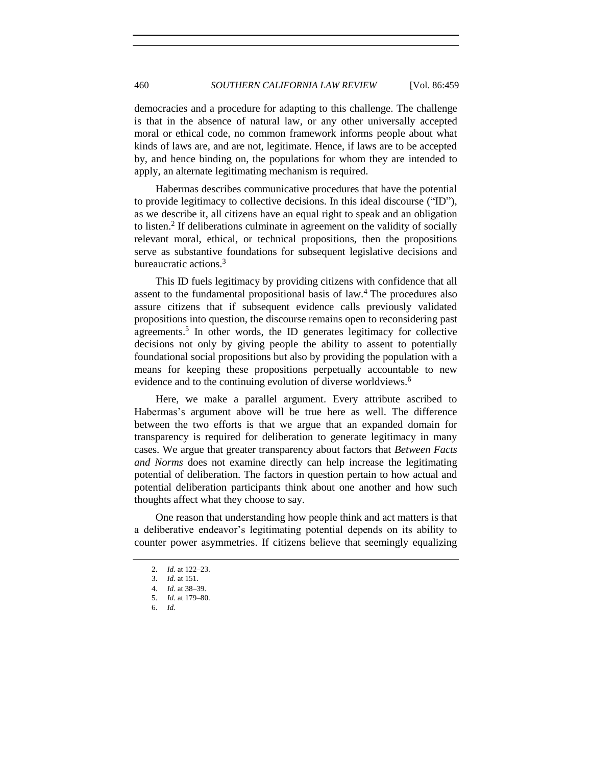democracies and a procedure for adapting to this challenge. The challenge is that in the absence of natural law, or any other universally accepted moral or ethical code, no common framework informs people about what kinds of laws are, and are not, legitimate. Hence, if laws are to be accepted by, and hence binding on, the populations for whom they are intended to apply, an alternate legitimating mechanism is required.

Habermas describes communicative procedures that have the potential to provide legitimacy to collective decisions. In this ideal discourse ("ID"), as we describe it, all citizens have an equal right to speak and an obligation to listen.<sup>2</sup> If deliberations culminate in agreement on the validity of socially relevant moral, ethical, or technical propositions, then the propositions serve as substantive foundations for subsequent legislative decisions and bureaucratic actions.<sup>3</sup>

This ID fuels legitimacy by providing citizens with confidence that all assent to the fundamental propositional basis of law.<sup>4</sup> The procedures also assure citizens that if subsequent evidence calls previously validated propositions into question, the discourse remains open to reconsidering past agreements.<sup>5</sup> In other words, the ID generates legitimacy for collective decisions not only by giving people the ability to assent to potentially foundational social propositions but also by providing the population with a means for keeping these propositions perpetually accountable to new evidence and to the continuing evolution of diverse worldviews.<sup>6</sup>

Here, we make a parallel argument. Every attribute ascribed to Habermas's argument above will be true here as well. The difference between the two efforts is that we argue that an expanded domain for transparency is required for deliberation to generate legitimacy in many cases. We argue that greater transparency about factors that *Between Facts and Norms* does not examine directly can help increase the legitimating potential of deliberation. The factors in question pertain to how actual and potential deliberation participants think about one another and how such thoughts affect what they choose to say.

One reason that understanding how people think and act matters is that a deliberative endeavor's legitimating potential depends on its ability to counter power asymmetries. If citizens believe that seemingly equalizing

<sup>2.</sup> *Id.* at 122–23.

<sup>3.</sup> *Id.* at 151.

<sup>4.</sup> *Id.* at 38–39.

<sup>5.</sup> *Id.* at 179–80.

<sup>6.</sup> *Id.*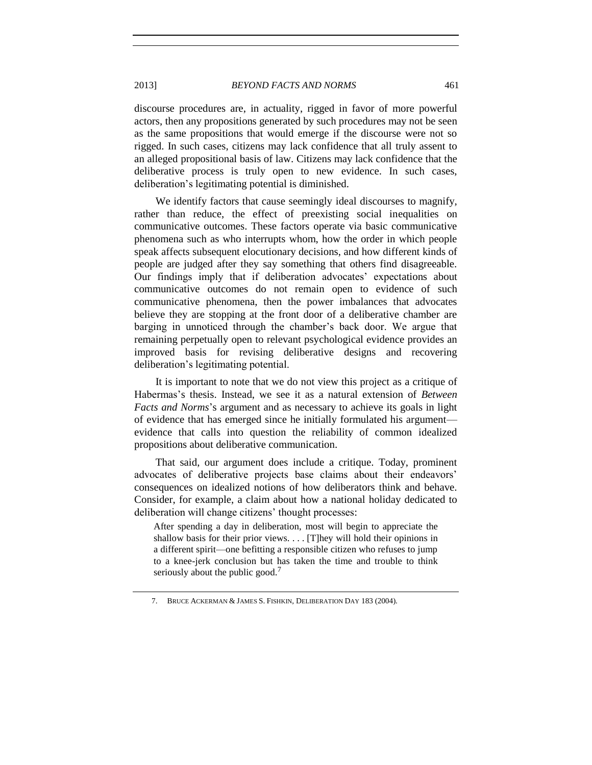2013] *BEYOND FACTS AND NORMS* 461

discourse procedures are, in actuality, rigged in favor of more powerful actors, then any propositions generated by such procedures may not be seen as the same propositions that would emerge if the discourse were not so rigged. In such cases, citizens may lack confidence that all truly assent to an alleged propositional basis of law. Citizens may lack confidence that the deliberative process is truly open to new evidence. In such cases, deliberation's legitimating potential is diminished.

We identify factors that cause seemingly ideal discourses to magnify, rather than reduce, the effect of preexisting social inequalities on communicative outcomes. These factors operate via basic communicative phenomena such as who interrupts whom, how the order in which people speak affects subsequent elocutionary decisions, and how different kinds of people are judged after they say something that others find disagreeable. Our findings imply that if deliberation advocates' expectations about communicative outcomes do not remain open to evidence of such communicative phenomena, then the power imbalances that advocates believe they are stopping at the front door of a deliberative chamber are barging in unnoticed through the chamber's back door. We argue that remaining perpetually open to relevant psychological evidence provides an improved basis for revising deliberative designs and recovering deliberation's legitimating potential.

It is important to note that we do not view this project as a critique of Habermas's thesis. Instead, we see it as a natural extension of *Between Facts and Norms*'s argument and as necessary to achieve its goals in light of evidence that has emerged since he initially formulated his argument evidence that calls into question the reliability of common idealized propositions about deliberative communication.

That said, our argument does include a critique. Today, prominent advocates of deliberative projects base claims about their endeavors' consequences on idealized notions of how deliberators think and behave. Consider, for example, a claim about how a national holiday dedicated to deliberation will change citizens' thought processes:

After spending a day in deliberation, most will begin to appreciate the shallow basis for their prior views. . . . [T]hey will hold their opinions in a different spirit—one befitting a responsible citizen who refuses to jump to a knee-jerk conclusion but has taken the time and trouble to think seriously about the public good.<sup>7</sup>

<span id="page-2-0"></span><sup>7.</sup> BRUCE ACKERMAN & JAMES S. FISHKIN, DELIBERATION DAY 183 (2004).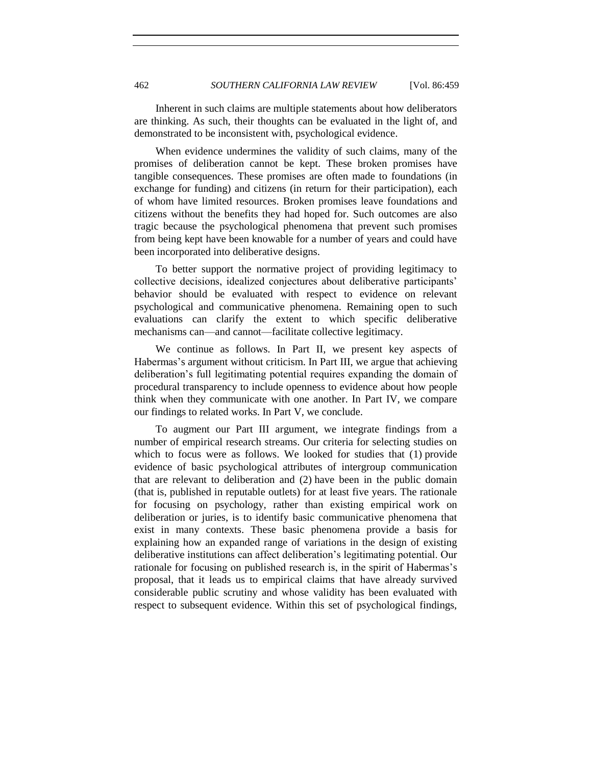Inherent in such claims are multiple statements about how deliberators are thinking. As such, their thoughts can be evaluated in the light of, and demonstrated to be inconsistent with, psychological evidence.

When evidence undermines the validity of such claims, many of the promises of deliberation cannot be kept. These broken promises have tangible consequences. These promises are often made to foundations (in exchange for funding) and citizens (in return for their participation), each of whom have limited resources. Broken promises leave foundations and citizens without the benefits they had hoped for. Such outcomes are also tragic because the psychological phenomena that prevent such promises from being kept have been knowable for a number of years and could have been incorporated into deliberative designs.

To better support the normative project of providing legitimacy to collective decisions, idealized conjectures about deliberative participants' behavior should be evaluated with respect to evidence on relevant psychological and communicative phenomena. Remaining open to such evaluations can clarify the extent to which specific deliberative mechanisms can—and cannot—facilitate collective legitimacy.

We continue as follows. In Part II, we present key aspects of Habermas's argument without criticism. In Part III, we argue that achieving deliberation's full legitimating potential requires expanding the domain of procedural transparency to include openness to evidence about how people think when they communicate with one another. In Part IV, we compare our findings to related works. In Part V, we conclude.

To augment our Part III argument, we integrate findings from a number of empirical research streams. Our criteria for selecting studies on which to focus were as follows. We looked for studies that (1) provide evidence of basic psychological attributes of intergroup communication that are relevant to deliberation and (2) have been in the public domain (that is, published in reputable outlets) for at least five years. The rationale for focusing on psychology, rather than existing empirical work on deliberation or juries, is to identify basic communicative phenomena that exist in many contexts. These basic phenomena provide a basis for explaining how an expanded range of variations in the design of existing deliberative institutions can affect deliberation's legitimating potential. Our rationale for focusing on published research is, in the spirit of Habermas's proposal, that it leads us to empirical claims that have already survived considerable public scrutiny and whose validity has been evaluated with respect to subsequent evidence. Within this set of psychological findings,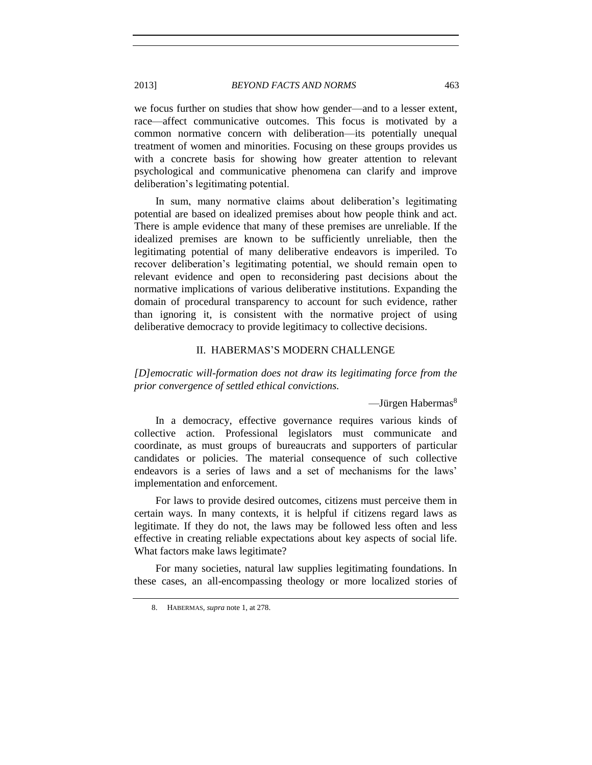we focus further on studies that show how gender—and to a lesser extent, race—affect communicative outcomes. This focus is motivated by a common normative concern with deliberation—its potentially unequal treatment of women and minorities. Focusing on these groups provides us with a concrete basis for showing how greater attention to relevant psychological and communicative phenomena can clarify and improve deliberation's legitimating potential.

In sum, many normative claims about deliberation's legitimating potential are based on idealized premises about how people think and act. There is ample evidence that many of these premises are unreliable. If the idealized premises are known to be sufficiently unreliable, then the legitimating potential of many deliberative endeavors is imperiled. To recover deliberation's legitimating potential, we should remain open to relevant evidence and open to reconsidering past decisions about the normative implications of various deliberative institutions. Expanding the domain of procedural transparency to account for such evidence, rather than ignoring it, is consistent with the normative project of using deliberative democracy to provide legitimacy to collective decisions.

# II. HABERMAS'S MODERN CHALLENGE

*[D]emocratic will-formation does not draw its legitimating force from the prior convergence of settled ethical convictions.*

 $-$ Jürgen Habermas $8$ 

In a democracy, effective governance requires various kinds of collective action. Professional legislators must communicate and coordinate, as must groups of bureaucrats and supporters of particular candidates or policies. The material consequence of such collective endeavors is a series of laws and a set of mechanisms for the laws' implementation and enforcement.

For laws to provide desired outcomes, citizens must perceive them in certain ways. In many contexts, it is helpful if citizens regard laws as legitimate. If they do not, the laws may be followed less often and less effective in creating reliable expectations about key aspects of social life. What factors make laws legitimate?

For many societies, natural law supplies legitimating foundations. In these cases, an all-encompassing theology or more localized stories of

<sup>8.</sup> HABERMAS, *supra* not[e 1,](#page-0-0) at 278.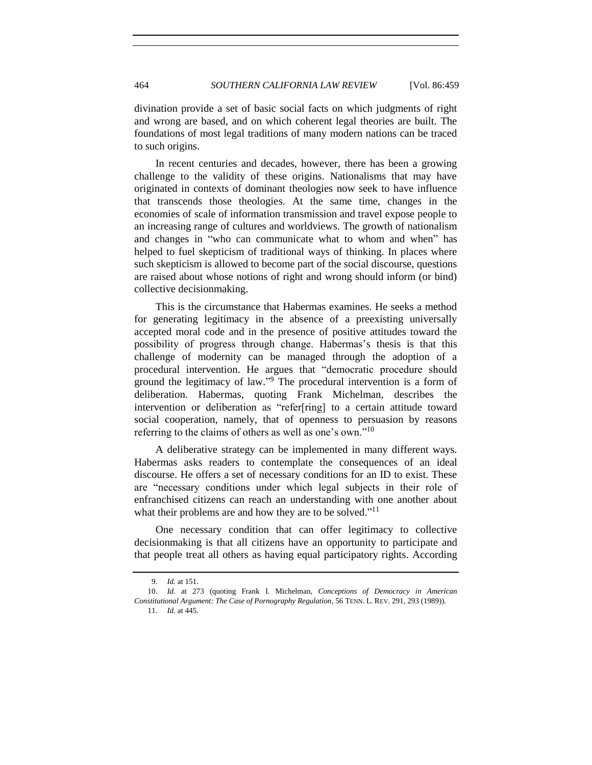divination provide a set of basic social facts on which judgments of right and wrong are based, and on which coherent legal theories are built. The foundations of most legal traditions of many modern nations can be traced to such origins.

In recent centuries and decades, however, there has been a growing challenge to the validity of these origins. Nationalisms that may have originated in contexts of dominant theologies now seek to have influence that transcends those theologies. At the same time, changes in the economies of scale of information transmission and travel expose people to an increasing range of cultures and worldviews. The growth of nationalism and changes in "who can communicate what to whom and when" has helped to fuel skepticism of traditional ways of thinking. In places where such skepticism is allowed to become part of the social discourse, questions are raised about whose notions of right and wrong should inform (or bind) collective decisionmaking.

This is the circumstance that Habermas examines. He seeks a method for generating legitimacy in the absence of a preexisting universally accepted moral code and in the presence of positive attitudes toward the possibility of progress through change. Habermas's thesis is that this challenge of modernity can be managed through the adoption of a procedural intervention. He argues that "democratic procedure should ground the legitimacy of law." <sup>9</sup> The procedural intervention is a form of deliberation. Habermas, quoting Frank Michelman, describes the intervention or deliberation as "refer[ring] to a certain attitude toward social cooperation, namely, that of openness to persuasion by reasons referring to the claims of others as well as one's own."<sup>10</sup>

A deliberative strategy can be implemented in many different ways. Habermas asks readers to contemplate the consequences of an ideal discourse. He offers a set of necessary conditions for an ID to exist. These are "necessary conditions under which legal subjects in their role of enfranchised citizens can reach an understanding with one another about what their problems are and how they are to be solved."<sup>11</sup>

One necessary condition that can offer legitimacy to collective decisionmaking is that all citizens have an opportunity to participate and that people treat all others as having equal participatory rights. According

<sup>9.</sup> *Id.* at 151.

<sup>10.</sup> *Id.* at 273 (quoting Frank I. Michelman, *Conceptions of Democracy in American Constitutional Argument: The Case of Pornography Regulation*, 56 TENN. L. REV. 291, 293 (1989)). 11. *Id.* at 445.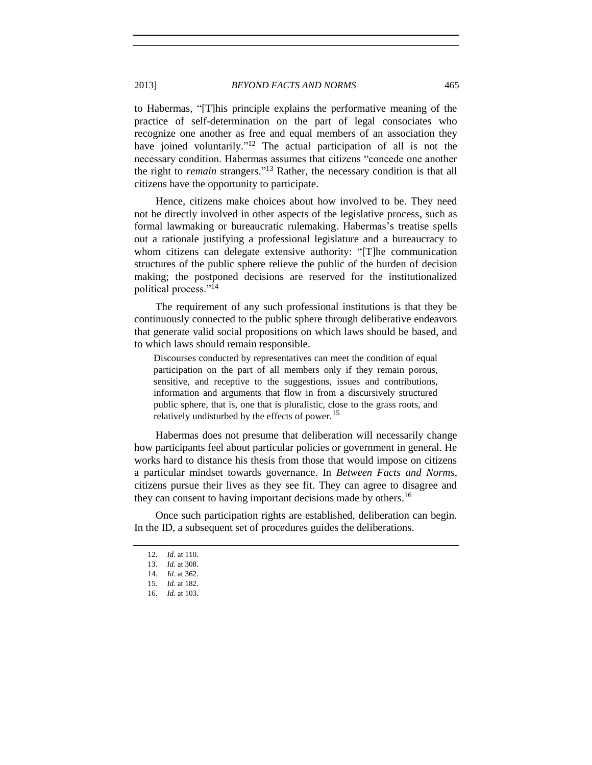2013] *BEYOND FACTS AND NORMS* 465

to Habermas, "[T]his principle explains the performative meaning of the practice of self-determination on the part of legal consociates who recognize one another as free and equal members of an association they have joined voluntarily."<sup>12</sup> The actual participation of all is not the necessary condition. Habermas assumes that citizens "concede one another the right to *remain* strangers." <sup>13</sup> Rather, the necessary condition is that all citizens have the opportunity to participate.

<span id="page-6-0"></span>Hence, citizens make choices about how involved to be. They need not be directly involved in other aspects of the legislative process, such as formal lawmaking or bureaucratic rulemaking. Habermas's treatise spells out a rationale justifying a professional legislature and a bureaucracy to whom citizens can delegate extensive authority: "[T]he communication structures of the public sphere relieve the public of the burden of decision making; the postponed decisions are reserved for the institutionalized political process."<sup>14</sup>

The requirement of any such professional institutions is that they be continuously connected to the public sphere through deliberative endeavors that generate valid social propositions on which laws should be based, and to which laws should remain responsible.

Discourses conducted by representatives can meet the condition of equal participation on the part of all members only if they remain porous, sensitive, and receptive to the suggestions, issues and contributions, information and arguments that flow in from a discursively structured public sphere, that is, one that is pluralistic, close to the grass roots, and relatively undisturbed by the effects of power.<sup>15</sup>

Habermas does not presume that deliberation will necessarily change how participants feel about particular policies or government in general. He works hard to distance his thesis from those that would impose on citizens a particular mindset towards governance. In *Between Facts and Norms*, citizens pursue their lives as they see fit. They can agree to disagree and they can consent to having important decisions made by others.<sup>16</sup>

Once such participation rights are established, deliberation can begin. In the ID, a subsequent set of procedures guides the deliberations.

<sup>12.</sup> *Id.* at 110.

<sup>13.</sup> *Id.* at 308.

<sup>14.</sup> *Id.* at 362.

<sup>15.</sup> *Id.* at 182.

<sup>16.</sup> *Id.* at 103.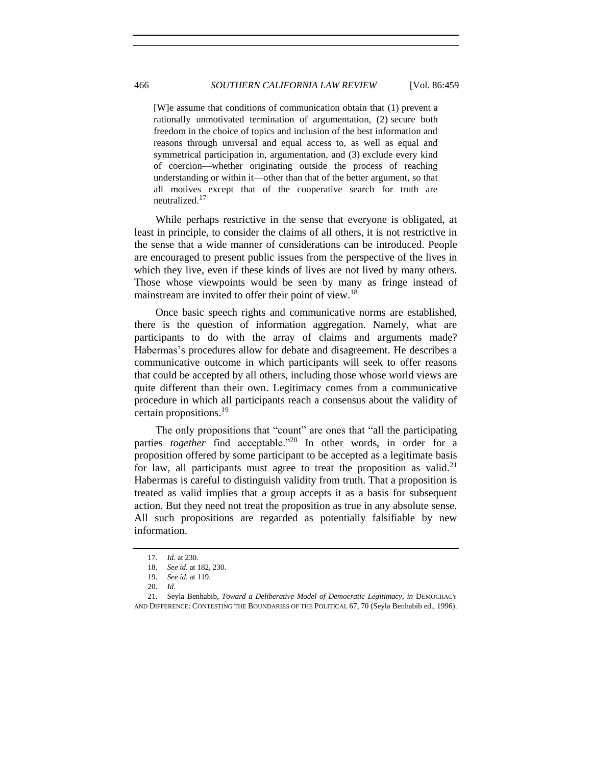[W]e assume that conditions of communication obtain that (1) prevent a rationally unmotivated termination of argumentation, (2) secure both freedom in the choice of topics and inclusion of the best information and reasons through universal and equal access to, as well as equal and symmetrical participation in, argumentation, and (3) exclude every kind of coercion—whether originating outside the process of reaching understanding or within it—other than that of the better argument, so that all motives except that of the cooperative search for truth are neutralized.<sup>17</sup>

While perhaps restrictive in the sense that everyone is obligated, at least in principle, to consider the claims of all others, it is not restrictive in the sense that a wide manner of considerations can be introduced. People are encouraged to present public issues from the perspective of the lives in which they live, even if these kinds of lives are not lived by many others. Those whose viewpoints would be seen by many as fringe instead of mainstream are invited to offer their point of view.<sup>18</sup>

Once basic speech rights and communicative norms are established, there is the question of information aggregation. Namely, what are participants to do with the array of claims and arguments made? Habermas's procedures allow for debate and disagreement. He describes a communicative outcome in which participants will seek to offer reasons that could be accepted by all others, including those whose world views are quite different than their own. Legitimacy comes from a communicative procedure in which all participants reach a consensus about the validity of certain propositions.<sup>19</sup>

The only propositions that "count" are ones that "all the participating parties *together* find acceptable."<sup>20</sup> In other words, in order for a proposition offered by some participant to be accepted as a legitimate basis for law, all participants must agree to treat the proposition as valid.<sup>21</sup> Habermas is careful to distinguish validity from truth. That a proposition is treated as valid implies that a group accepts it as a basis for subsequent action. But they need not treat the proposition as true in any absolute sense. All such propositions are regarded as potentially falsifiable by new information.

<sup>17.</sup> *Id.* at 230.

<sup>18.</sup> *See id.* at 182, 230.

<sup>19.</sup> *See id.* at 119.

<sup>20.</sup> *Id.*

<sup>21.</sup> Seyla Benhabib, *Toward a Deliberative Model of Democratic Legitimacy*, *in* DEMOCRACY AND DIFFERENCE: CONTESTING THE BOUNDARIES OF THE POLITICAL 67, 70 (Seyla Benhabib ed., 1996).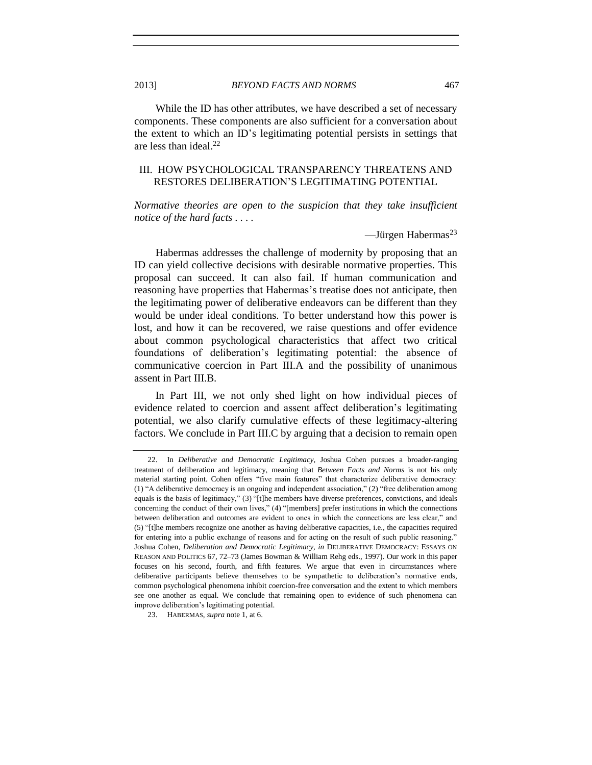While the ID has other attributes, we have described a set of necessary components. These components are also sufficient for a conversation about the extent to which an ID's legitimating potential persists in settings that are less than ideal.<sup>22</sup>

# III. HOW PSYCHOLOGICAL TRANSPARENCY THREATENS AND RESTORES DELIBERATION'S LEGITIMATING POTENTIAL

*Normative theories are open to the suspicion that they take insufficient notice of the hard facts . . . .*

 $-$ Jürgen Habermas<sup>23</sup>

Habermas addresses the challenge of modernity by proposing that an ID can yield collective decisions with desirable normative properties. This proposal can succeed. It can also fail. If human communication and reasoning have properties that Habermas's treatise does not anticipate, then the legitimating power of deliberative endeavors can be different than they would be under ideal conditions. To better understand how this power is lost, and how it can be recovered, we raise questions and offer evidence about common psychological characteristics that affect two critical foundations of deliberation's legitimating potential: the absence of communicative coercion in Part III.A and the possibility of unanimous assent in Part III.B.

In Part III, we not only shed light on how individual pieces of evidence related to coercion and assent affect deliberation's legitimating potential, we also clarify cumulative effects of these legitimacy-altering factors. We conclude in Part III.C by arguing that a decision to remain open

<sup>22.</sup> In *Deliberative and Democratic Legitimacy*, Joshua Cohen pursues a broader-ranging treatment of deliberation and legitimacy, meaning that *Between Facts and Norms* is not his only material starting point. Cohen offers "five main features" that characterize deliberative democracy: (1) "A deliberative democracy is an ongoing and independent association," (2) "free deliberation among equals is the basis of legitimacy," (3) "[t]he members have diverse preferences, convictions, and ideals concerning the conduct of their own lives," (4) "[members] prefer institutions in which the connections between deliberation and outcomes are evident to ones in which the connections are less clear," and (5) "[t]he members recognize one another as having deliberative capacities, i.e., the capacities required for entering into a public exchange of reasons and for acting on the result of such public reasoning." Joshua Cohen, *Deliberation and Democratic Legitimacy*, *in* DELIBERATIVE DEMOCRACY: ESSAYS ON REASON AND POLITICS 67, 72–73 (James Bowman & William Rehg eds., 1997). Our work in this paper focuses on his second, fourth, and fifth features. We argue that even in circumstances where deliberative participants believe themselves to be sympathetic to deliberation's normative ends, common psychological phenomena inhibit coercion-free conversation and the extent to which members see one another as equal. We conclude that remaining open to evidence of such phenomena can improve deliberation's legitimating potential.

<sup>23.</sup> HABERMAS, *supra* not[e 1,](#page-0-0) at 6.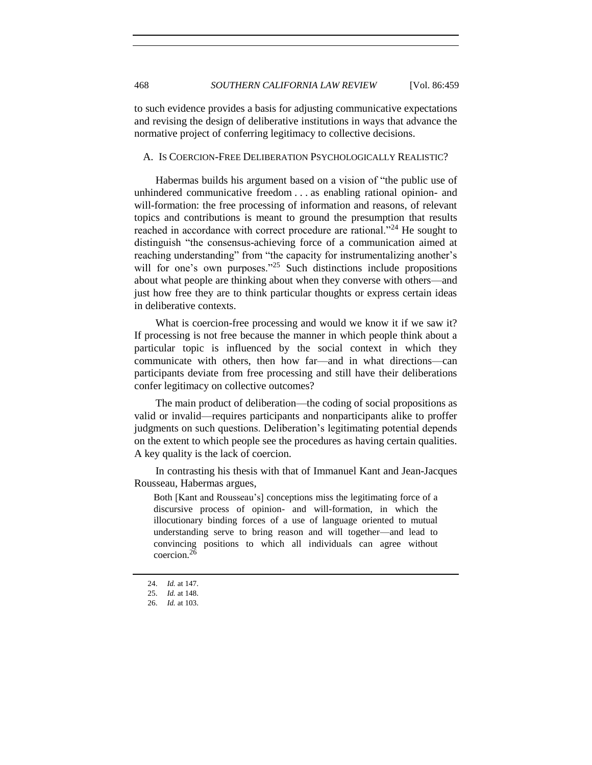to such evidence provides a basis for adjusting communicative expectations and revising the design of deliberative institutions in ways that advance the normative project of conferring legitimacy to collective decisions.

## A. IS COERCION-FREE DELIBERATION PSYCHOLOGICALLY REALISTIC?

Habermas builds his argument based on a vision of "the public use of unhindered communicative freedom . . . as enabling rational opinion- and will-formation: the free processing of information and reasons, of relevant topics and contributions is meant to ground the presumption that results reached in accordance with correct procedure are rational."<sup>24</sup> He sought to distinguish "the consensus-achieving force of a communication aimed at reaching understanding" from "the capacity for instrumentalizing another's will for one's own purposes."<sup>25</sup> Such distinctions include propositions about what people are thinking about when they converse with others—and just how free they are to think particular thoughts or express certain ideas in deliberative contexts.

What is coercion-free processing and would we know it if we saw it? If processing is not free because the manner in which people think about a particular topic is influenced by the social context in which they communicate with others, then how far—and in what directions—can participants deviate from free processing and still have their deliberations confer legitimacy on collective outcomes?

The main product of deliberation—the coding of social propositions as valid or invalid—requires participants and nonparticipants alike to proffer judgments on such questions. Deliberation's legitimating potential depends on the extent to which people see the procedures as having certain qualities. A key quality is the lack of coercion.

In contrasting his thesis with that of Immanuel Kant and Jean-Jacques Rousseau, Habermas argues,

Both [Kant and Rousseau's] conceptions miss the legitimating force of a discursive process of opinion- and will-formation, in which the illocutionary binding forces of a use of language oriented to mutual understanding serve to bring reason and will together—and lead to convincing positions to which all individuals can agree without coercion.<sup>26</sup>

<sup>24.</sup> *Id.* at 147.

<sup>25.</sup> *Id.* at 148.

<sup>26.</sup> *Id.* at 103.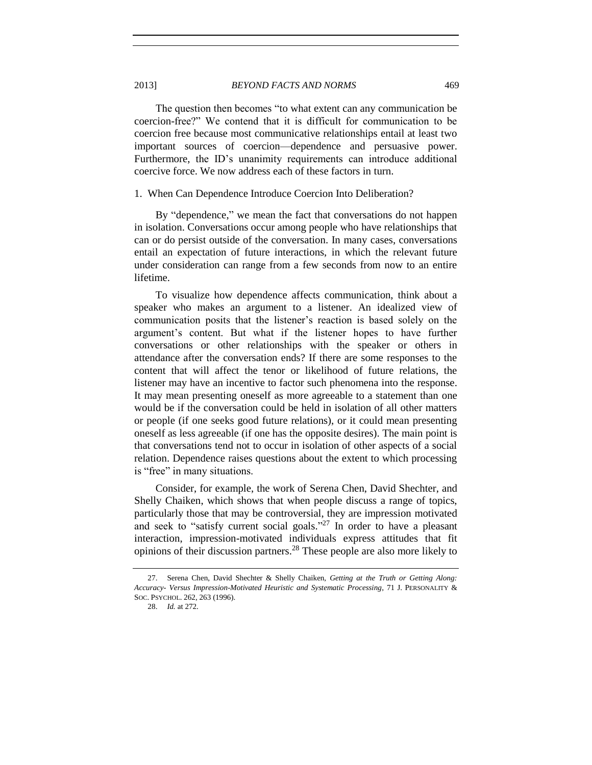The question then becomes "to what extent can any communication be coercion-free?" We contend that it is difficult for communication to be coercion free because most communicative relationships entail at least two important sources of coercion—dependence and persuasive power. Furthermore, the ID's unanimity requirements can introduce additional coercive force. We now address each of these factors in turn.

#### 1. When Can Dependence Introduce Coercion Into Deliberation?

By "dependence," we mean the fact that conversations do not happen in isolation. Conversations occur among people who have relationships that can or do persist outside of the conversation. In many cases, conversations entail an expectation of future interactions, in which the relevant future under consideration can range from a few seconds from now to an entire lifetime.

To visualize how dependence affects communication, think about a speaker who makes an argument to a listener. An idealized view of communication posits that the listener's reaction is based solely on the argument's content. But what if the listener hopes to have further conversations or other relationships with the speaker or others in attendance after the conversation ends? If there are some responses to the content that will affect the tenor or likelihood of future relations, the listener may have an incentive to factor such phenomena into the response. It may mean presenting oneself as more agreeable to a statement than one would be if the conversation could be held in isolation of all other matters or people (if one seeks good future relations), or it could mean presenting oneself as less agreeable (if one has the opposite desires). The main point is that conversations tend not to occur in isolation of other aspects of a social relation. Dependence raises questions about the extent to which processing is "free" in many situations.

Consider, for example, the work of Serena Chen, David Shechter, and Shelly Chaiken, which shows that when people discuss a range of topics, particularly those that may be controversial, they are impression motivated and seek to "satisfy current social goals."<sup>27</sup> In order to have a pleasant interaction, impression-motivated individuals express attitudes that fit opinions of their discussion partners.<sup>28</sup> These people are also more likely to

<sup>27.</sup> Serena Chen, David Shechter & Shelly Chaiken, *Getting at the Truth or Getting Along: Accuracy- Versus Impression-Motivated Heuristic and Systematic Processing*, 71 J. PERSONALITY & SOC. PSYCHOL. 262, 263 (1996).

<sup>28.</sup> *Id.* at 272.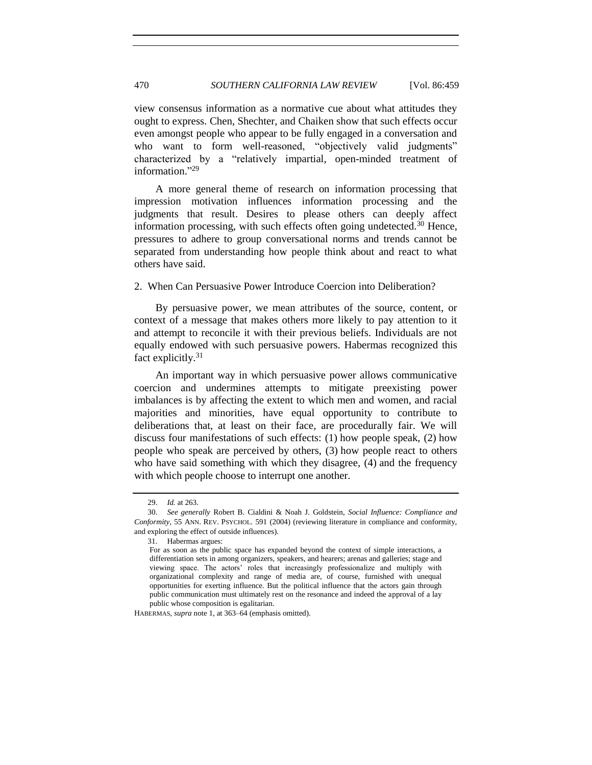view consensus information as a normative cue about what attitudes they ought to express. Chen, Shechter, and Chaiken show that such effects occur even amongst people who appear to be fully engaged in a conversation and who want to form well-reasoned, "objectively valid judgments" characterized by a "relatively impartial, open-minded treatment of information."<sup>29</sup>

A more general theme of research on information processing that impression motivation influences information processing and the judgments that result. Desires to please others can deeply affect information processing, with such effects often going undetected.<sup>30</sup> Hence, pressures to adhere to group conversational norms and trends cannot be separated from understanding how people think about and react to what others have said.

2. When Can Persuasive Power Introduce Coercion into Deliberation?

By persuasive power, we mean attributes of the source, content, or context of a message that makes others more likely to pay attention to it and attempt to reconcile it with their previous beliefs. Individuals are not equally endowed with such persuasive powers. Habermas recognized this fact explicitly.<sup>31</sup>

An important way in which persuasive power allows communicative coercion and undermines attempts to mitigate preexisting power imbalances is by affecting the extent to which men and women, and racial majorities and minorities, have equal opportunity to contribute to deliberations that, at least on their face, are procedurally fair. We will discuss four manifestations of such effects: (1) how people speak, (2) how people who speak are perceived by others, (3) how people react to others who have said something with which they disagree, (4) and the frequency with which people choose to interrupt one another.

HABERMAS, *supra* not[e 1,](#page-0-0) at 363–64 (emphasis omitted).

<sup>29.</sup> *Id.* at 263.

<sup>30.</sup> *See generally* Robert B. Cialdini & Noah J. Goldstein, *Social Influence: Compliance and Conformity*, 55 ANN. REV. PSYCHOL. 591 (2004) (reviewing literature in compliance and conformity, and exploring the effect of outside influences).

<sup>31.</sup> Habermas argues:

For as soon as the public space has expanded beyond the context of simple interactions, a differentiation sets in among organizers, speakers, and hearers; arenas and galleries; stage and viewing space. The actors' roles that increasingly professionalize and multiply with organizational complexity and range of media are, of course, furnished with unequal opportunities for exerting influence. But the political influence that the actors gain through public communication must ultimately rest on the resonance and indeed the approval of a lay public whose composition is egalitarian.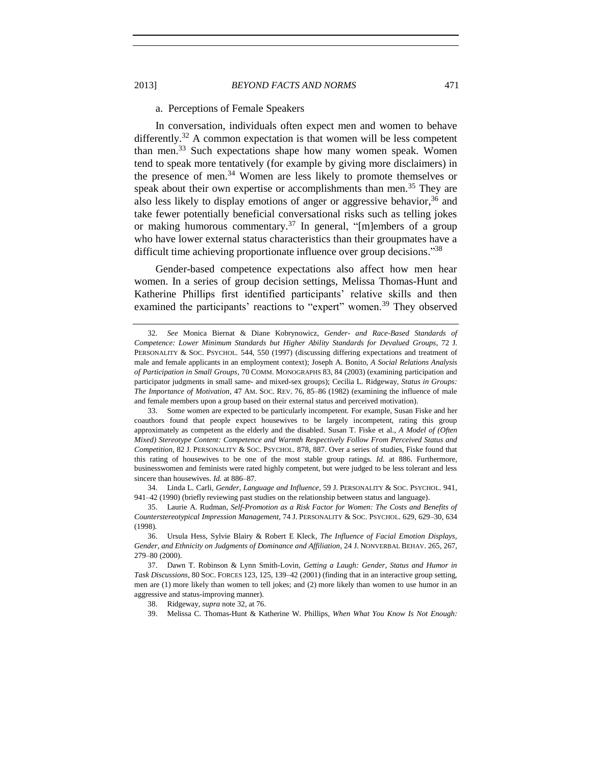# <span id="page-12-0"></span>a. Perceptions of Female Speakers

In conversation, individuals often expect men and women to behave differently.<sup>32</sup> A common expectation is that women will be less competent than men.<sup>33</sup> Such expectations shape how many women speak. Women tend to speak more tentatively (for example by giving more disclaimers) in the presence of men.<sup>34</sup> Women are less likely to promote themselves or speak about their own expertise or accomplishments than men.<sup>35</sup> They are also less likely to display emotions of anger or aggressive behavior, <sup>36</sup> and take fewer potentially beneficial conversational risks such as telling jokes or making humorous commentary.<sup>37</sup> In general, "[m]embers of a group who have lower external status characteristics than their groupmates have a difficult time achieving proportionate influence over group decisions."38

Gender-based competence expectations also affect how men hear women. In a series of group decision settings, Melissa Thomas-Hunt and Katherine Phillips first identified participants' relative skills and then examined the participants' reactions to "expert" women.<sup>39</sup> They observed

34. Linda L. Carli, *Gender, Language and Influence*, 59 J. PERSONALITY & SOC. PSYCHOL. 941, 941–42 (1990) (briefly reviewing past studies on the relationship between status and language).

38. Ridgeway, *supra* not[e 32,](#page-12-0) at 76.

39. Melissa C. Thomas-Hunt & Katherine W. Phillips, *When What You Know Is Not Enough:* 

<sup>32.</sup> *See* Monica Biernat & Diane Kobrynowicz, *Gender- and Race-Based Standards of Competence: Lower Minimum Standards but Higher Ability Standards for Devalued Groups*, 72 J. PERSONALITY & SOC. PSYCHOL. 544, 550 (1997) (discussing differing expectations and treatment of male and female applicants in an employment context); Joseph A. Bonito, *A Social Relations Analysis of Participation in Small Groups*, 70 COMM. MONOGRAPHS 83, 84 (2003) (examining participation and participator judgments in small same- and mixed-sex groups); Cecilia L. Ridgeway, *Status in Groups: The Importance of Motivation*, 47 AM. SOC. REV. 76, 85–86 (1982) (examining the influence of male and female members upon a group based on their external status and perceived motivation).

<sup>33.</sup> Some women are expected to be particularly incompetent. For example, Susan Fiske and her coauthors found that people expect housewives to be largely incompetent, rating this group approximately as competent as the elderly and the disabled. Susan T. Fiske et al., *A Model of (Often Mixed) Stereotype Content: Competence and Warmth Respectively Follow From Perceived Status and Competition*, 82 J. PERSONALITY & SOC. PSYCHOL. 878, 887. Over a series of studies, Fiske found that this rating of housewives to be one of the most stable group ratings. *Id.* at 886. Furthermore, businesswomen and feminists were rated highly competent, but were judged to be less tolerant and less sincere than housewives. *Id.* at 886–87.

<sup>35.</sup> Laurie A. Rudman, *Self-Promotion as a Risk Factor for Women: The Costs and Benefits of Counterstereotypical Impression Management*, 74 J. PERSONALITY & SOC. PSYCHOL. 629, 629–30, 634 (1998).

<sup>36.</sup> Ursula Hess, Sylvie Blairy & Robert E Kleck, *The Influence of Facial Emotion Displays, Gender, and Ethnicity on Judgments of Dominance and Affiliation*, 24 J. NONVERBAL BEHAV. 265, 267, 279–80 (2000).

<sup>37.</sup> Dawn T. Robinson & Lynn Smith-Lovin, *Getting a Laugh: Gender, Status and Humor in Task Discussions*, 80 SOC. FORCES 123, 125, 139–42 (2001) (finding that in an interactive group setting, men are (1) more likely than women to tell jokes; and (2) more likely than women to use humor in an aggressive and status-improving manner).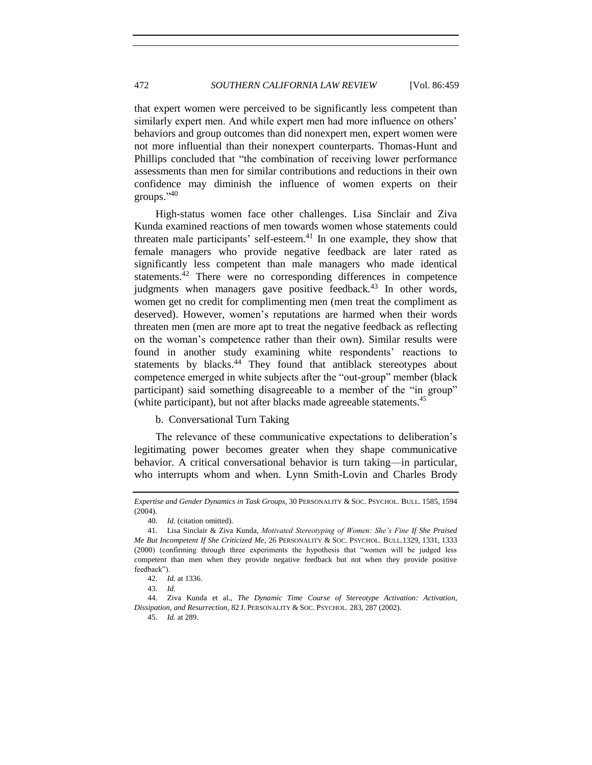that expert women were perceived to be significantly less competent than similarly expert men. And while expert men had more influence on others' behaviors and group outcomes than did nonexpert men, expert women were not more influential than their nonexpert counterparts. Thomas-Hunt and Phillips concluded that "the combination of receiving lower performance assessments than men for similar contributions and reductions in their own confidence may diminish the influence of women experts on their groups." 40

High-status women face other challenges. Lisa Sinclair and Ziva Kunda examined reactions of men towards women whose statements could threaten male participants' self-esteem.<sup>41</sup> In one example, they show that female managers who provide negative feedback are later rated as significantly less competent than male managers who made identical statements.<sup>42</sup> There were no corresponding differences in competence judgments when managers gave positive feedback.<sup>43</sup> In other words, women get no credit for complimenting men (men treat the compliment as deserved). However, women's reputations are harmed when their words threaten men (men are more apt to treat the negative feedback as reflecting on the woman's competence rather than their own). Similar results were found in another study examining white respondents' reactions to statements by blacks.<sup>44</sup> They found that antiblack stereotypes about competence emerged in white subjects after the "out-group" member (black participant) said something disagreeable to a member of the "in group" (white participant), but not after blacks made agreeable statements.<sup>45</sup>

b. Conversational Turn Taking

The relevance of these communicative expectations to deliberation's legitimating power becomes greater when they shape communicative behavior. A critical conversational behavior is turn taking—in particular, who interrupts whom and when. Lynn Smith-Lovin and Charles Brody

45. *Id.* at 289.

*Expertise and Gender Dynamics in Task Groups*, 30 PERSONALITY & SOC. PSYCHOL. BULL. 1585, 1594 (2004).

<sup>40.</sup> *Id.* (citation omitted).

<sup>41.</sup> Lisa Sinclair & Ziva Kunda, *Motivated Stereotyping of Women: She's Fine If She Praised Me But Incompetent If She Criticized Me*, 26 PERSONALITY & SOC. PSYCHOL. BULL.1329, 1331, 1333 (2000) (confirming through three experiments the hypothesis that "women will be judged less competent than men when they provide negative feedback but not when they provide positive feedback").

<sup>42.</sup> *Id.* at 1336.

<sup>43.</sup> *Id.*

<sup>44.</sup> Ziva Kunda et al., *The Dynamic Time Course of Stereotype Activation: Activation, Dissipation, and Resurrection*, 82 J. PERSONALITY & SOC. PSYCHOL. 283, 287 (2002).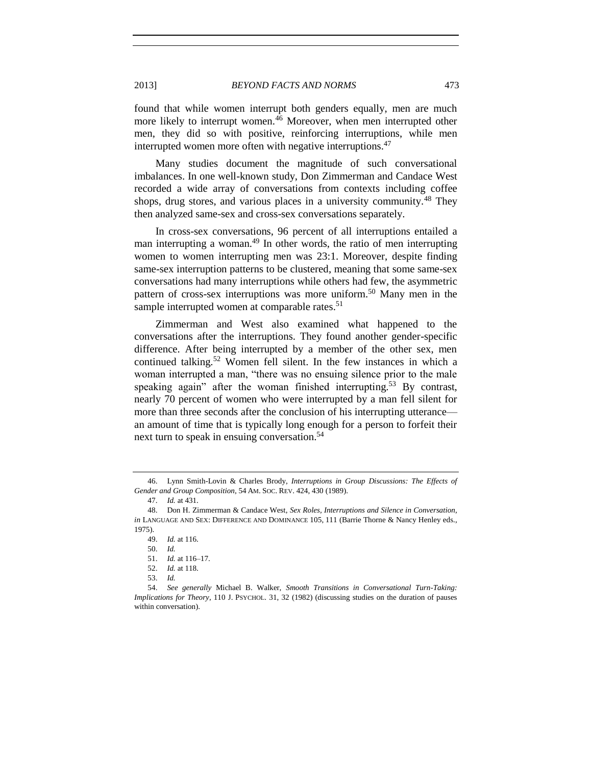2013] *BEYOND FACTS AND NORMS* 473

found that while women interrupt both genders equally, men are much more likely to interrupt women.<sup>46</sup> Moreover, when men interrupted other men, they did so with positive, reinforcing interruptions, while men interrupted women more often with negative interruptions.<sup>47</sup>

Many studies document the magnitude of such conversational imbalances. In one well-known study, Don Zimmerman and Candace West recorded a wide array of conversations from contexts including coffee shops, drug stores, and various places in a university community.<sup>48</sup> They then analyzed same-sex and cross-sex conversations separately.

In cross-sex conversations, 96 percent of all interruptions entailed a man interrupting a woman.<sup>49</sup> In other words, the ratio of men interrupting women to women interrupting men was 23:1. Moreover, despite finding same-sex interruption patterns to be clustered, meaning that some same-sex conversations had many interruptions while others had few, the asymmetric pattern of cross-sex interruptions was more uniform. <sup>50</sup> Many men in the sample interrupted women at comparable rates.<sup>51</sup>

Zimmerman and West also examined what happened to the conversations after the interruptions. They found another gender-specific difference. After being interrupted by a member of the other sex, men continued talking.<sup>52</sup> Women fell silent. In the few instances in which a woman interrupted a man, "there was no ensuing silence prior to the male speaking again" after the woman finished interrupting.<sup>53</sup> By contrast, nearly 70 percent of women who were interrupted by a man fell silent for more than three seconds after the conclusion of his interrupting utterance an amount of time that is typically long enough for a person to forfeit their next turn to speak in ensuing conversation.<sup>54</sup>

<sup>46.</sup> Lynn Smith-Lovin & Charles Brody, *Interruptions in Group Discussions: The Effects of Gender and Group Composition*, 54 AM. SOC. REV. 424, 430 (1989).

<sup>47.</sup> *Id.* at 431.

<sup>48.</sup> Don H. Zimmerman & Candace West, *Sex Roles, Interruptions and Silence in Conversation*, *in* LANGUAGE AND SEX: DIFFERENCE AND DOMINANCE 105, 111 (Barrie Thorne & Nancy Henley eds., 1975).

<sup>49.</sup> *Id.* at 116.

<sup>50.</sup> *Id.*

<sup>51.</sup> *Id.* at 116–17.

<sup>52.</sup> *Id.* at 118.

<sup>53.</sup> *Id.*

<sup>54.</sup> *See generally* Michael B. Walker, *Smooth Transitions in Conversational Turn-Taking: Implications for Theory*, 110 J. PSYCHOL. 31, 32 (1982) (discussing studies on the duration of pauses within conversation).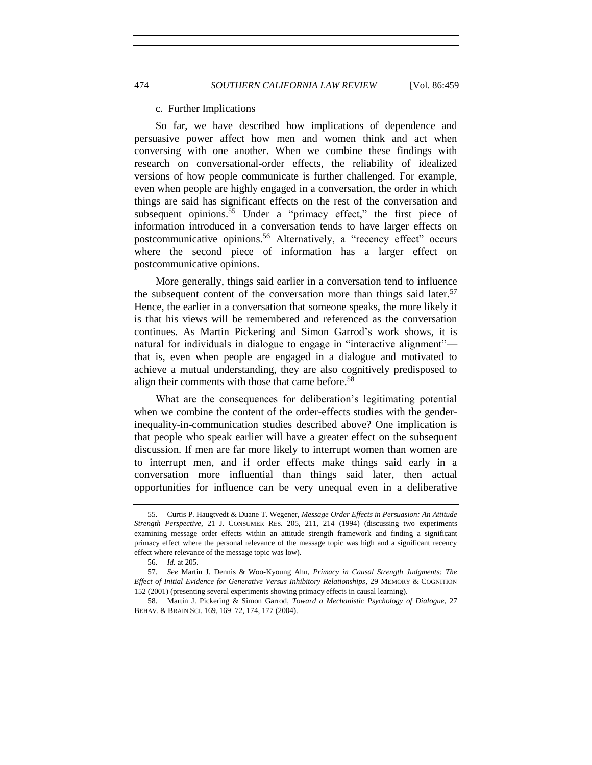#### c. Further Implications

So far, we have described how implications of dependence and persuasive power affect how men and women think and act when conversing with one another. When we combine these findings with research on conversational-order effects, the reliability of idealized versions of how people communicate is further challenged. For example, even when people are highly engaged in a conversation, the order in which things are said has significant effects on the rest of the conversation and subsequent opinions.<sup>55</sup> Under a "primacy effect," the first piece of information introduced in a conversation tends to have larger effects on postcommunicative opinions.<sup>56</sup> Alternatively, a "recency effect" occurs where the second piece of information has a larger effect on postcommunicative opinions.

More generally, things said earlier in a conversation tend to influence the subsequent content of the conversation more than things said later.<sup>57</sup> Hence, the earlier in a conversation that someone speaks, the more likely it is that his views will be remembered and referenced as the conversation continues. As Martin Pickering and Simon Garrod's work shows, it is natural for individuals in dialogue to engage in "interactive alignment" that is, even when people are engaged in a dialogue and motivated to achieve a mutual understanding, they are also cognitively predisposed to align their comments with those that came before.<sup>58</sup>

What are the consequences for deliberation's legitimating potential when we combine the content of the order-effects studies with the genderinequality-in-communication studies described above? One implication is that people who speak earlier will have a greater effect on the subsequent discussion. If men are far more likely to interrupt women than women are to interrupt men, and if order effects make things said early in a conversation more influential than things said later, then actual opportunities for influence can be very unequal even in a deliberative

<sup>55.</sup> Curtis P. Haugtvedt & Duane T. Wegener, *Message Order Effects in Persuasion: An Attitude Strength Perspective*, 21 J. CONSUMER RES. 205, 211, 214 (1994) (discussing two experiments examining message order effects within an attitude strength framework and finding a significant primacy effect where the personal relevance of the message topic was high and a significant recency effect where relevance of the message topic was low).

<sup>56.</sup> *Id.* at 205.

<sup>57.</sup> *See* Martin J. Dennis & Woo-Kyoung Ahn, *Primacy in Causal Strength Judgments: The Effect of Initial Evidence for Generative Versus Inhibitory Relationships*, 29 MEMORY & COGNITION 152 (2001) (presenting several experiments showing primacy effects in causal learning).

<sup>58.</sup> Martin J. Pickering & Simon Garrod, *Toward a Mechanistic Psychology of Dialogue*, 27 BEHAV. & BRAIN SCI. 169, 169–72, 174, 177 (2004).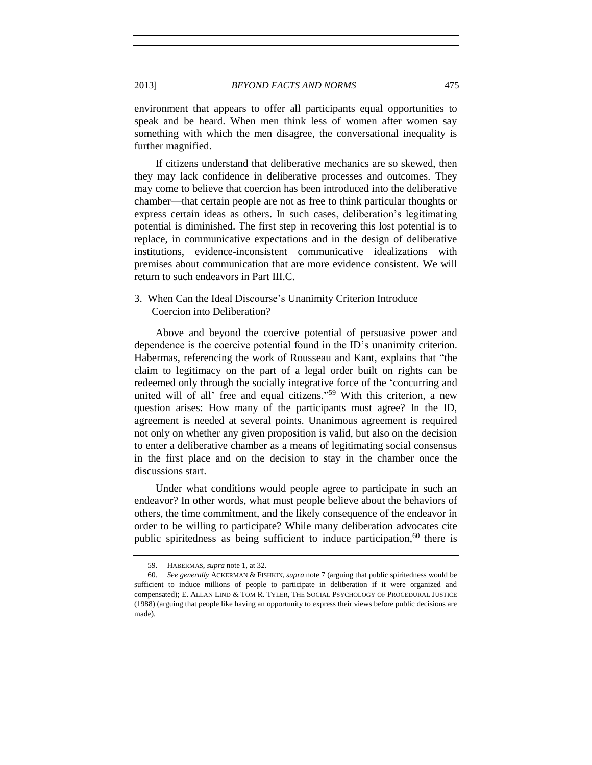environment that appears to offer all participants equal opportunities to speak and be heard. When men think less of women after women say something with which the men disagree, the conversational inequality is further magnified.

If citizens understand that deliberative mechanics are so skewed, then they may lack confidence in deliberative processes and outcomes. They may come to believe that coercion has been introduced into the deliberative chamber—that certain people are not as free to think particular thoughts or express certain ideas as others. In such cases, deliberation's legitimating potential is diminished. The first step in recovering this lost potential is to replace, in communicative expectations and in the design of deliberative institutions, evidence-inconsistent communicative idealizations with premises about communication that are more evidence consistent. We will return to such endeavors in Part III.C.

# 3. When Can the Ideal Discourse's Unanimity Criterion Introduce Coercion into Deliberation?

Above and beyond the coercive potential of persuasive power and dependence is the coercive potential found in the ID's unanimity criterion. Habermas, referencing the work of Rousseau and Kant, explains that "the claim to legitimacy on the part of a legal order built on rights can be redeemed only through the socially integrative force of the 'concurring and united will of all' free and equal citizens."<sup>59</sup> With this criterion, a new question arises: How many of the participants must agree? In the ID, agreement is needed at several points. Unanimous agreement is required not only on whether any given proposition is valid, but also on the decision to enter a deliberative chamber as a means of legitimating social consensus in the first place and on the decision to stay in the chamber once the discussions start.

Under what conditions would people agree to participate in such an endeavor? In other words, what must people believe about the behaviors of others, the time commitment, and the likely consequence of the endeavor in order to be willing to participate? While many deliberation advocates cite public spiritedness as being sufficient to induce participation,  $60$  there is

<sup>59.</sup> HABERMAS, *supra* not[e 1,](#page-0-0) at 32.

<sup>60.</sup> *See generally* ACKERMAN & FISHKIN, *supra* not[e 7](#page-2-0) (arguing that public spiritedness would be sufficient to induce millions of people to participate in deliberation if it were organized and compensated); E. ALLAN LIND & TOM R. TYLER, THE SOCIAL PSYCHOLOGY OF PROCEDURAL JUSTICE (1988) (arguing that people like having an opportunity to express their views before public decisions are made).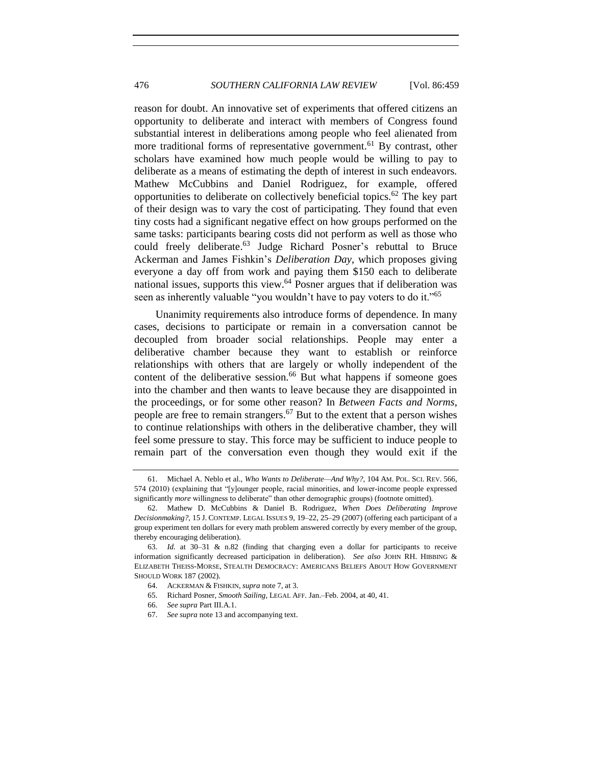reason for doubt. An innovative set of experiments that offered citizens an opportunity to deliberate and interact with members of Congress found substantial interest in deliberations among people who feel alienated from more traditional forms of representative government.<sup>61</sup> By contrast, other scholars have examined how much people would be willing to pay to deliberate as a means of estimating the depth of interest in such endeavors. Mathew McCubbins and Daniel Rodriguez, for example, offered opportunities to deliberate on collectively beneficial topics.<sup>62</sup> The key part of their design was to vary the cost of participating. They found that even tiny costs had a significant negative effect on how groups performed on the same tasks: participants bearing costs did not perform as well as those who could freely deliberate. <sup>63</sup> Judge Richard Posner's rebuttal to Bruce Ackerman and James Fishkin's *Deliberation Day*, which proposes giving everyone a day off from work and paying them \$150 each to deliberate national issues, supports this view.<sup>64</sup> Posner argues that if deliberation was seen as inherently valuable "you wouldn't have to pay voters to do it."<sup>65</sup>

Unanimity requirements also introduce forms of dependence. In many cases, decisions to participate or remain in a conversation cannot be decoupled from broader social relationships. People may enter a deliberative chamber because they want to establish or reinforce relationships with others that are largely or wholly independent of the content of the deliberative session. $66$  But what happens if someone goes into the chamber and then wants to leave because they are disappointed in the proceedings, or for some other reason? In *Between Facts and Norms*, people are free to remain strangers.<sup>67</sup> But to the extent that a person wishes to continue relationships with others in the deliberative chamber, they will feel some pressure to stay. This force may be sufficient to induce people to remain part of the conversation even though they would exit if the

- 65. Richard Posner, *Smooth Sailing*, LEGAL AFF. Jan.–Feb. 2004, at 40, 41.
- 66. *See supra* Part III.A.1.

<sup>61.</sup> Michael A. Neblo et al., *Who Wants to Deliberate—And Why?*, 104 AM. POL. SCI. REV. 566, 574 (2010) (explaining that "[y]ounger people, racial minorities, and lower-income people expressed significantly *more* willingness to deliberate" than other demographic groups) (footnote omitted).

<sup>62.</sup> Mathew D. McCubbins & Daniel B. Rodriguez, *When Does Deliberating Improve Decisionmaking?*, 15 J. CONTEMP. LEGAL ISSUES 9, 19–22, 25–29 (2007) (offering each participant of a group experiment ten dollars for every math problem answered correctly by every member of the group, thereby encouraging deliberation).

<sup>63.</sup> *Id.* at 30–31 & n.82 (finding that charging even a dollar for participants to receive information significantly decreased participation in deliberation). *See also* JOHN RH. HIBBING & ELIZABETH THEISS-MORSE, STEALTH DEMOCRACY: AMERICANS BELIEFS ABOUT HOW GOVERNMENT SHOULD WORK 187 (2002).

<sup>64.</sup> ACKERMAN & FISHKIN, *supra* not[e 7,](#page-2-0) at 3.

<sup>67.</sup> *See supra* not[e 13](#page-6-0) and accompanying text.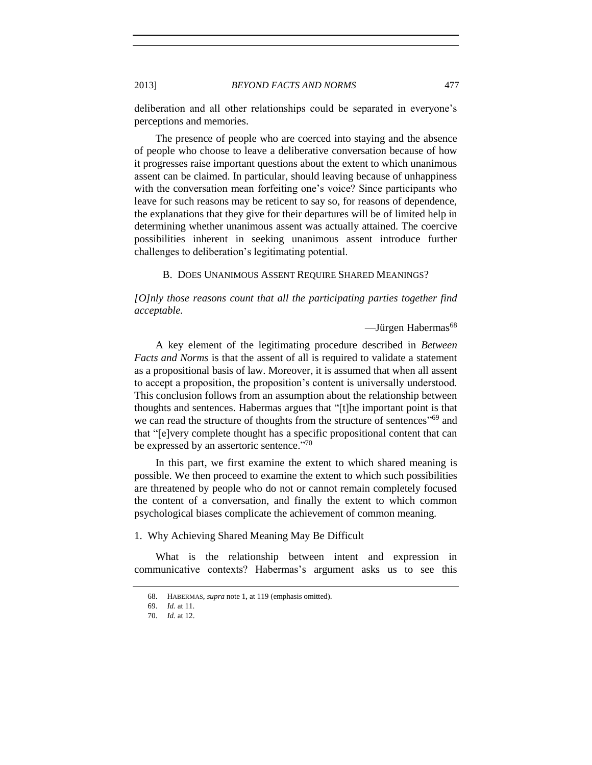2013] *BEYOND FACTS AND NORMS* 477

deliberation and all other relationships could be separated in everyone's perceptions and memories.

The presence of people who are coerced into staying and the absence of people who choose to leave a deliberative conversation because of how it progresses raise important questions about the extent to which unanimous assent can be claimed. In particular, should leaving because of unhappiness with the conversation mean forfeiting one's voice? Since participants who leave for such reasons may be reticent to say so, for reasons of dependence, the explanations that they give for their departures will be of limited help in determining whether unanimous assent was actually attained. The coercive possibilities inherent in seeking unanimous assent introduce further challenges to deliberation's legitimating potential.

B. DOES UNANIMOUS ASSENT REQUIRE SHARED MEANINGS?

*[O]nly those reasons count that all the participating parties together find acceptable.*

—Jürgen Habermas 68

A key element of the legitimating procedure described in *Between Facts and Norms* is that the assent of all is required to validate a statement as a propositional basis of law. Moreover, it is assumed that when all assent to accept a proposition, the proposition's content is universally understood. This conclusion follows from an assumption about the relationship between thoughts and sentences. Habermas argues that "[t]he important point is that we can read the structure of thoughts from the structure of sentences<sup>"69</sup> and that "[e]very complete thought has a specific propositional content that can be expressed by an assertoric sentence."<sup>70</sup>

In this part, we first examine the extent to which shared meaning is possible. We then proceed to examine the extent to which such possibilities are threatened by people who do not or cannot remain completely focused the content of a conversation, and finally the extent to which common psychological biases complicate the achievement of common meaning.

1. Why Achieving Shared Meaning May Be Difficult

What is the relationship between intent and expression in communicative contexts? Habermas's argument asks us to see this

<sup>68.</sup> HABERMAS, *supra* not[e 1,](#page-0-0) at 119 (emphasis omitted).

<sup>69.</sup> *Id.* at 11.

<sup>70.</sup> *Id.* at 12.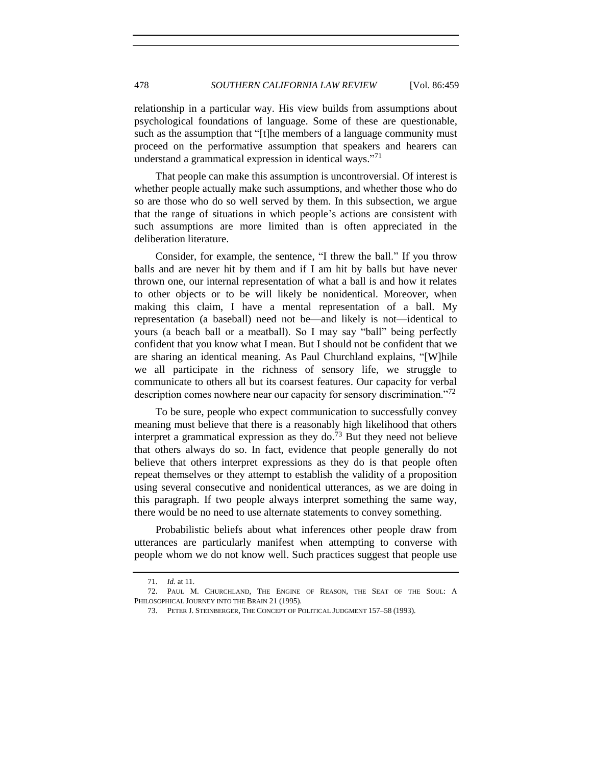relationship in a particular way. His view builds from assumptions about psychological foundations of language. Some of these are questionable, such as the assumption that "[t]he members of a language community must proceed on the performative assumption that speakers and hearers can understand a grammatical expression in identical ways."<sup>71</sup>

That people can make this assumption is uncontroversial. Of interest is whether people actually make such assumptions, and whether those who do so are those who do so well served by them. In this subsection, we argue that the range of situations in which people's actions are consistent with such assumptions are more limited than is often appreciated in the deliberation literature.

Consider, for example, the sentence, "I threw the ball." If you throw balls and are never hit by them and if I am hit by balls but have never thrown one, our internal representation of what a ball is and how it relates to other objects or to be will likely be nonidentical. Moreover, when making this claim, I have a mental representation of a ball. My representation (a baseball) need not be—and likely is not—identical to yours (a beach ball or a meatball). So I may say "ball" being perfectly confident that you know what I mean. But I should not be confident that we are sharing an identical meaning. As Paul Churchland explains, "[W]hile we all participate in the richness of sensory life, we struggle to communicate to others all but its coarsest features. Our capacity for verbal description comes nowhere near our capacity for sensory discrimination.<sup>772</sup>

To be sure, people who expect communication to successfully convey meaning must believe that there is a reasonably high likelihood that others interpret a grammatical expression as they do.<sup>73</sup> But they need not believe that others always do so. In fact, evidence that people generally do not believe that others interpret expressions as they do is that people often repeat themselves or they attempt to establish the validity of a proposition using several consecutive and nonidentical utterances, as we are doing in this paragraph. If two people always interpret something the same way, there would be no need to use alternate statements to convey something.

Probabilistic beliefs about what inferences other people draw from utterances are particularly manifest when attempting to converse with people whom we do not know well. Such practices suggest that people use

<sup>71.</sup> *Id.* at 11.

<sup>72.</sup> PAUL M. CHURCHLAND, THE ENGINE OF REASON, THE SEAT OF THE SOUL: A PHILOSOPHICAL JOURNEY INTO THE BRAIN 21 (1995).

<sup>73.</sup> PETER J. STEINBERGER, THE CONCEPT OF POLITICAL JUDGMENT 157–58 (1993).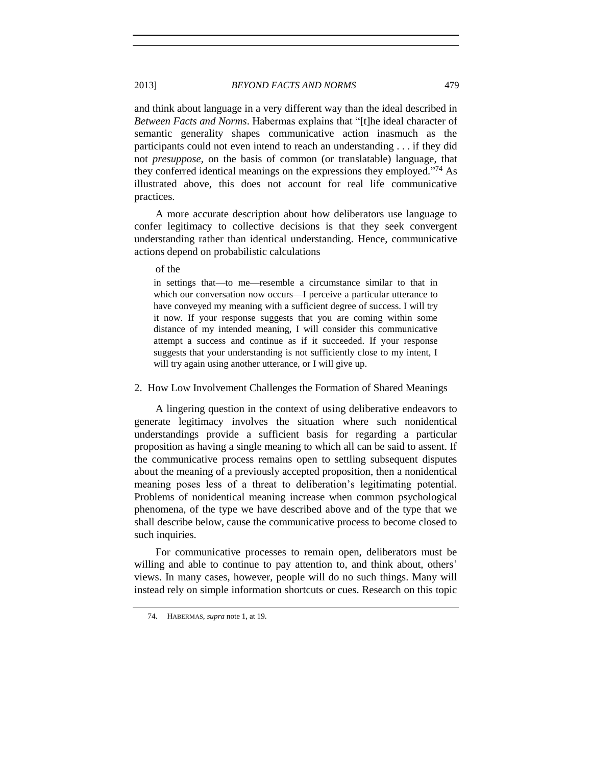and think about language in a very different way than the ideal described in *Between Facts and Norms*. Habermas explains that "[t]he ideal character of semantic generality shapes communicative action inasmuch as the participants could not even intend to reach an understanding . . . if they did not *presuppose*, on the basis of common (or translatable) language, that they conferred identical meanings on the expressions they employed."<sup>74</sup> As illustrated above, this does not account for real life communicative practices.

A more accurate description about how deliberators use language to confer legitimacy to collective decisions is that they seek convergent understanding rather than identical understanding. Hence, communicative actions depend on probabilistic calculations

of the

in settings that—to me—resemble a circumstance similar to that in which our conversation now occurs—I perceive a particular utterance to have conveyed my meaning with a sufficient degree of success. I will try it now. If your response suggests that you are coming within some distance of my intended meaning, I will consider this communicative attempt a success and continue as if it succeeded. If your response suggests that your understanding is not sufficiently close to my intent, I will try again using another utterance, or I will give up.

2. How Low Involvement Challenges the Formation of Shared Meanings

A lingering question in the context of using deliberative endeavors to generate legitimacy involves the situation where such nonidentical understandings provide a sufficient basis for regarding a particular proposition as having a single meaning to which all can be said to assent. If the communicative process remains open to settling subsequent disputes about the meaning of a previously accepted proposition, then a nonidentical meaning poses less of a threat to deliberation's legitimating potential. Problems of nonidentical meaning increase when common psychological phenomena, of the type we have described above and of the type that we shall describe below, cause the communicative process to become closed to such inquiries.

For communicative processes to remain open, deliberators must be willing and able to continue to pay attention to, and think about, others' views. In many cases, however, people will do no such things. Many will instead rely on simple information shortcuts or cues. Research on this topic

<sup>74.</sup> HABERMAS, *supra* not[e 1,](#page-0-0) at 19.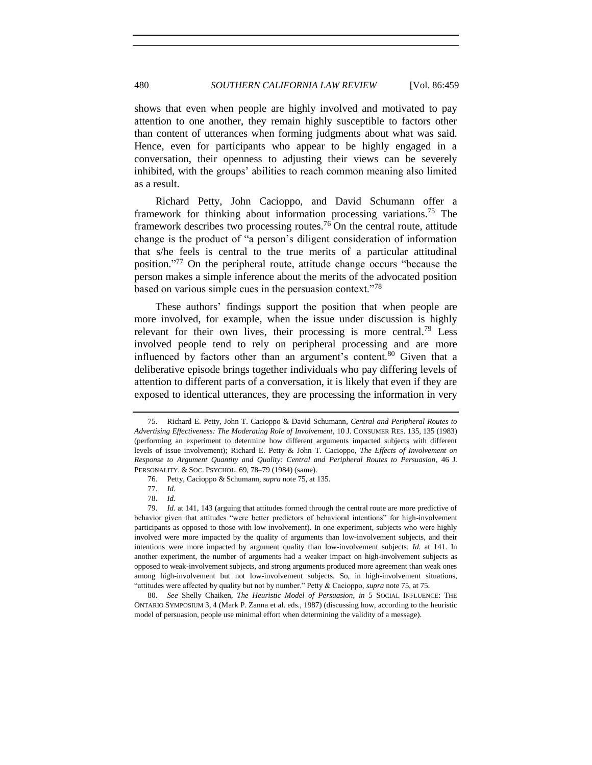shows that even when people are highly involved and motivated to pay attention to one another, they remain highly susceptible to factors other than content of utterances when forming judgments about what was said. Hence, even for participants who appear to be highly engaged in a conversation, their openness to adjusting their views can be severely inhibited, with the groups' abilities to reach common meaning also limited as a result.

<span id="page-21-0"></span>Richard Petty, John Cacioppo, and David Schumann offer a framework for thinking about information processing variations.<sup>75</sup> The framework describes two processing routes.<sup>76</sup> On the central route, attitude change is the product of "a person's diligent consideration of information that s/he feels is central to the true merits of a particular attitudinal position." <sup>77</sup> On the peripheral route, attitude change occurs "because the person makes a simple inference about the merits of the advocated position based on various simple cues in the persuasion context."<sup>78</sup>

These authors' findings support the position that when people are more involved, for example, when the issue under discussion is highly relevant for their own lives, their processing is more central.<sup>79</sup> Less involved people tend to rely on peripheral processing and are more influenced by factors other than an argument's content.<sup>80</sup> Given that a deliberative episode brings together individuals who pay differing levels of attention to different parts of a conversation, it is likely that even if they are exposed to identical utterances, they are processing the information in very

<sup>75.</sup> Richard E. Petty, John T. Cacioppo & David Schumann, *Central and Peripheral Routes to Advertising Effectiveness: The Moderating Role of Involvement*, 10 J. CONSUMER RES. 135, 135 (1983) (performing an experiment to determine how different arguments impacted subjects with different levels of issue involvement); Richard E. Petty & John T. Cacioppo, *The Effects of Involvement on Response to Argument Quantity and Quality: Central and Peripheral Routes to Persuasion*, 46 J. PERSONALITY. & SOC. PSYCHOL. 69, 78–79 (1984) (same).

<sup>76.</sup> Petty, Cacioppo & Schumann, *supra* not[e 75,](#page-21-0) at 135.

<sup>77.</sup> *Id.*

<sup>78.</sup> *Id.*

<sup>79.</sup> *Id.* at 141, 143 (arguing that attitudes formed through the central route are more predictive of behavior given that attitudes "were better predictors of behavioral intentions" for high-involvement participants as opposed to those with low involvement). In one experiment, subjects who were highly involved were more impacted by the quality of arguments than low-involvement subjects, and their intentions were more impacted by argument quality than low-involvement subjects. *Id.* at 141. In another experiment, the number of arguments had a weaker impact on high-involvement subjects as opposed to weak-involvement subjects, and strong arguments produced more agreement than weak ones among high-involvement but not low-involvement subjects. So, in high-involvement situations, "attitudes were affected by quality but not by number." Petty & Cacioppo, *supra* not[e 75,](#page-21-0) at 75.

<sup>80.</sup> *See* Shelly Chaiken, *The Heuristic Model of Persuasion*, *in* 5 SOCIAL INFLUENCE: THE ONTARIO SYMPOSIUM 3, 4 (Mark P. Zanna et al. eds., 1987) (discussing how, according to the heuristic model of persuasion, people use minimal effort when determining the validity of a message).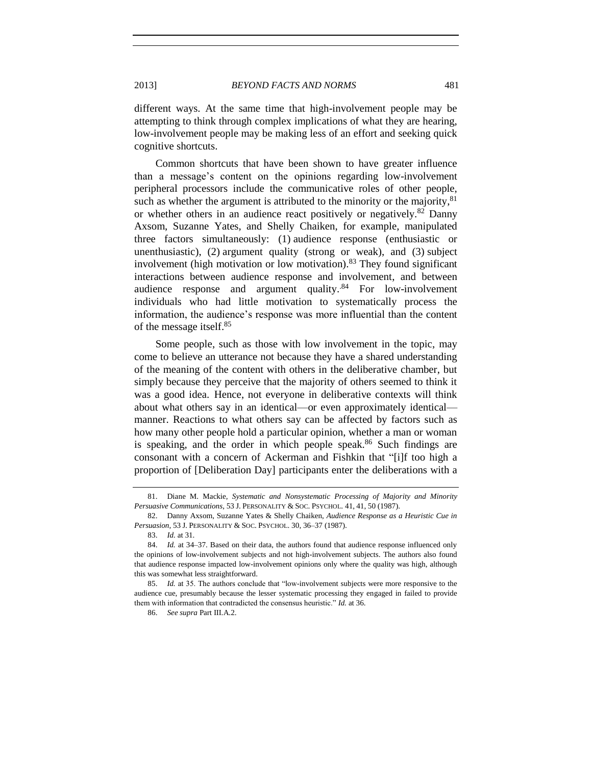different ways. At the same time that high-involvement people may be attempting to think through complex implications of what they are hearing, low-involvement people may be making less of an effort and seeking quick cognitive shortcuts.

Common shortcuts that have been shown to have greater influence than a message's content on the opinions regarding low-involvement peripheral processors include the communicative roles of other people, such as whether the argument is attributed to the minority or the majority, $81$ or whether others in an audience react positively or negatively. $82$  Danny Axsom, Suzanne Yates, and Shelly Chaiken, for example, manipulated three factors simultaneously: (1) audience response (enthusiastic or unenthusiastic), (2) argument quality (strong or weak), and (3) subject involvement (high motivation or low motivation).<sup>83</sup> They found significant interactions between audience response and involvement, and between audience response and argument quality.<sup>84</sup> For low-involvement individuals who had little motivation to systematically process the information, the audience's response was more influential than the content of the message itself.<sup>85</sup>

Some people, such as those with low involvement in the topic, may come to believe an utterance not because they have a shared understanding of the meaning of the content with others in the deliberative chamber, but simply because they perceive that the majority of others seemed to think it was a good idea. Hence, not everyone in deliberative contexts will think about what others say in an identical—or even approximately identical manner. Reactions to what others say can be affected by factors such as how many other people hold a particular opinion, whether a man or woman is speaking, and the order in which people speak. $86$  Such findings are consonant with a concern of Ackerman and Fishkin that "[i]f too high a proportion of [Deliberation Day] participants enter the deliberations with a

<sup>81.</sup> Diane M. Mackie, *Systematic and Nonsystematic Processing of Majority and Minority Persuasive Communications*, 53 J. PERSONALITY & SOC. PSYCHOL. 41, 41, 50 (1987).

<sup>82.</sup> Danny Axsom, Suzanne Yates & Shelly Chaiken, *Audience Response as a Heuristic Cue in Persuasion*, 53 J. PERSONALITY & SOC. PSYCHOL. 30, 36–37 (1987).

<sup>83.</sup> *Id.* at 31.

<sup>84.</sup> *Id.* at 34–37. Based on their data, the authors found that audience response influenced only the opinions of low-involvement subjects and not high-involvement subjects. The authors also found that audience response impacted low-involvement opinions only where the quality was high, although this was somewhat less straightforward.

<sup>85.</sup> *Id.* at 35. The authors conclude that "low-involvement subjects were more responsive to the audience cue, presumably because the lesser systematic processing they engaged in failed to provide them with information that contradicted the consensus heuristic." *Id.* at 36.

<sup>86.</sup> *See supra* Part III.A.2.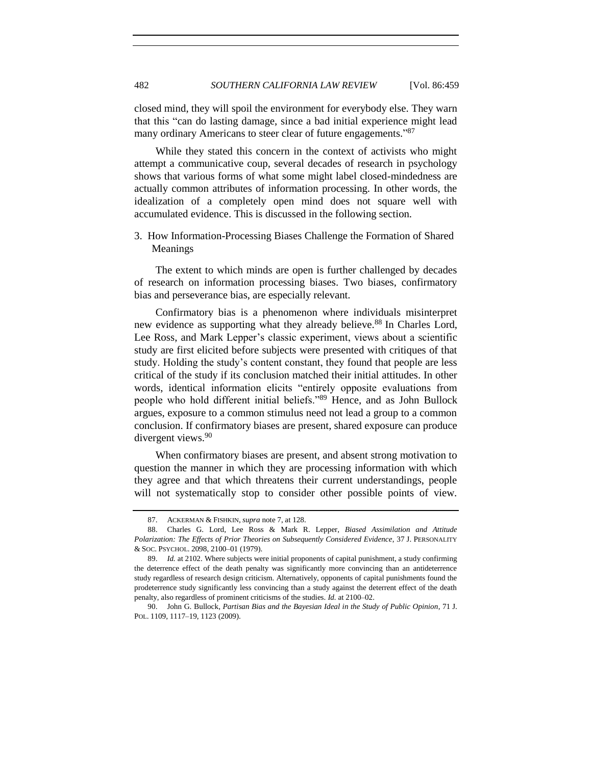closed mind, they will spoil the environment for everybody else. They warn that this "can do lasting damage, since a bad initial experience might lead many ordinary Americans to steer clear of future engagements."<sup>87</sup>

While they stated this concern in the context of activists who might attempt a communicative coup, several decades of research in psychology shows that various forms of what some might label closed-mindedness are actually common attributes of information processing. In other words, the idealization of a completely open mind does not square well with accumulated evidence. This is discussed in the following section.

3. How Information-Processing Biases Challenge the Formation of Shared Meanings

The extent to which minds are open is further challenged by decades of research on information processing biases. Two biases, confirmatory bias and perseverance bias, are especially relevant.

Confirmatory bias is a phenomenon where individuals misinterpret new evidence as supporting what they already believe.<sup>88</sup> In Charles Lord, Lee Ross, and Mark Lepper's classic experiment, views about a scientific study are first elicited before subjects were presented with critiques of that study. Holding the study's content constant, they found that people are less critical of the study if its conclusion matched their initial attitudes. In other words, identical information elicits "entirely opposite evaluations from people who hold different initial beliefs."<sup>89</sup> Hence, and as John Bullock argues, exposure to a common stimulus need not lead a group to a common conclusion. If confirmatory biases are present, shared exposure can produce divergent views.<sup>90</sup>

When confirmatory biases are present, and absent strong motivation to question the manner in which they are processing information with which they agree and that which threatens their current understandings, people will not systematically stop to consider other possible points of view.

<sup>87.</sup> ACKERMAN & FISHKIN, *supra* not[e 7,](#page-2-0) at 128.

<sup>88.</sup> Charles G. Lord, Lee Ross & Mark R. Lepper, *Biased Assimilation and Attitude Polarization: The Effects of Prior Theories on Subsequently Considered Evidence*, 37 J. PERSONALITY & SOC. PSYCHOL. 2098, 2100–01 (1979).

<sup>89.</sup> *Id.* at 2102. Where subjects were initial proponents of capital punishment, a study confirming the deterrence effect of the death penalty was significantly more convincing than an antideterrence study regardless of research design criticism. Alternatively, opponents of capital punishments found the prodeterrence study significantly less convincing than a study against the deterrent effect of the death penalty, also regardless of prominent criticisms of the studies. *Id.* at 2100–02.

<sup>90.</sup> John G. Bullock, *Partisan Bias and the Bayesian Ideal in the Study of Public Opinion*, 71 J. POL. 1109, 1117–19, 1123 (2009).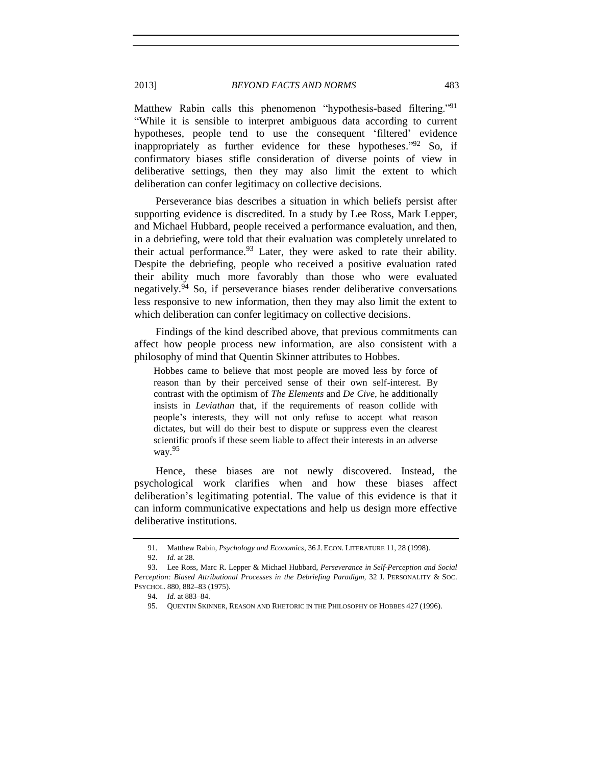Matthew Rabin calls this phenomenon "hypothesis-based filtering."<sup>91</sup> "While it is sensible to interpret ambiguous data according to current hypotheses, people tend to use the consequent 'filtered' evidence inappropriately as further evidence for these hypotheses."<sup>92</sup> So, if confirmatory biases stifle consideration of diverse points of view in deliberative settings, then they may also limit the extent to which deliberation can confer legitimacy on collective decisions.

Perseverance bias describes a situation in which beliefs persist after supporting evidence is discredited. In a study by Lee Ross, Mark Lepper, and Michael Hubbard, people received a performance evaluation, and then, in a debriefing, were told that their evaluation was completely unrelated to their actual performance.  $93$  Later, they were asked to rate their ability. Despite the debriefing, people who received a positive evaluation rated their ability much more favorably than those who were evaluated negatively.<sup>94</sup> So, if perseverance biases render deliberative conversations less responsive to new information, then they may also limit the extent to which deliberation can confer legitimacy on collective decisions.

Findings of the kind described above, that previous commitments can affect how people process new information, are also consistent with a philosophy of mind that Quentin Skinner attributes to Hobbes.

Hobbes came to believe that most people are moved less by force of reason than by their perceived sense of their own self-interest. By contrast with the optimism of *The Elements* and *De Cive*, he additionally insists in *Leviathan* that, if the requirements of reason collide with people's interests, they will not only refuse to accept what reason dictates, but will do their best to dispute or suppress even the clearest scientific proofs if these seem liable to affect their interests in an adverse way.<sup>95</sup>

Hence, these biases are not newly discovered. Instead, the psychological work clarifies when and how these biases affect deliberation's legitimating potential. The value of this evidence is that it can inform communicative expectations and help us design more effective deliberative institutions.

<sup>91.</sup> Matthew Rabin, *Psychology and Economics*, 36 J. ECON. LITERATURE 11, 28 (1998).

<sup>92.</sup> *Id.* at 28.

<sup>93.</sup> Lee Ross, Marc R. Lepper & Michael Hubbard, *Perseverance in Self-Perception and Social Perception: Biased Attributional Processes in the Debriefing Paradigm*, 32 J. PERSONALITY & SOC. PSYCHOL. 880, 882–83 (1975).

<sup>94.</sup> *Id.* at 883–84.

<sup>95.</sup> QUENTIN SKINNER, REASON AND RHETORIC IN THE PHILOSOPHY OF HOBBES 427 (1996).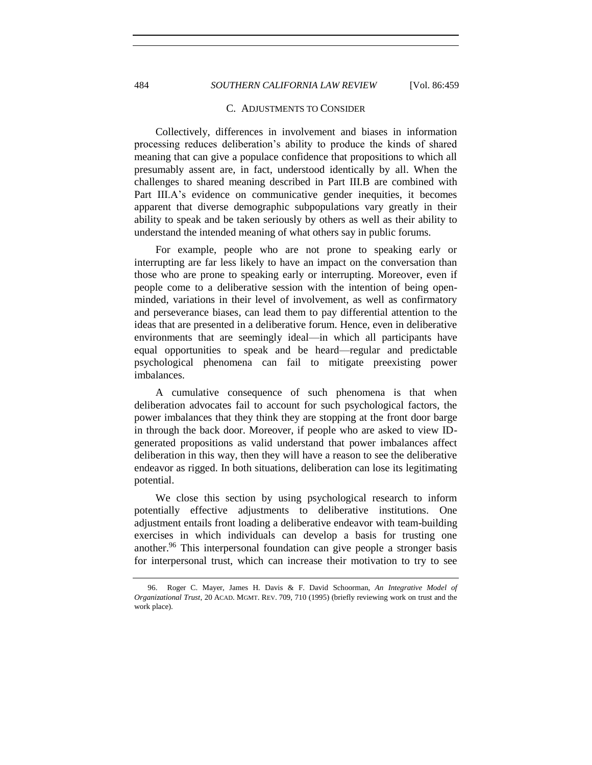## 484 *SOUTHERN CALIFORNIA LAW REVIEW* [Vol. 86:459

#### C. ADJUSTMENTS TO CONSIDER

Collectively, differences in involvement and biases in information processing reduces deliberation's ability to produce the kinds of shared meaning that can give a populace confidence that propositions to which all presumably assent are, in fact, understood identically by all. When the challenges to shared meaning described in Part III.B are combined with Part III.A's evidence on communicative gender inequities, it becomes apparent that diverse demographic subpopulations vary greatly in their ability to speak and be taken seriously by others as well as their ability to understand the intended meaning of what others say in public forums.

For example, people who are not prone to speaking early or interrupting are far less likely to have an impact on the conversation than those who are prone to speaking early or interrupting. Moreover, even if people come to a deliberative session with the intention of being openminded, variations in their level of involvement, as well as confirmatory and perseverance biases, can lead them to pay differential attention to the ideas that are presented in a deliberative forum. Hence, even in deliberative environments that are seemingly ideal—in which all participants have equal opportunities to speak and be heard—regular and predictable psychological phenomena can fail to mitigate preexisting power imbalances.

A cumulative consequence of such phenomena is that when deliberation advocates fail to account for such psychological factors, the power imbalances that they think they are stopping at the front door barge in through the back door. Moreover, if people who are asked to view IDgenerated propositions as valid understand that power imbalances affect deliberation in this way, then they will have a reason to see the deliberative endeavor as rigged. In both situations, deliberation can lose its legitimating potential.

We close this section by using psychological research to inform potentially effective adjustments to deliberative institutions. One adjustment entails front loading a deliberative endeavor with team-building exercises in which individuals can develop a basis for trusting one another.<sup>96</sup> This interpersonal foundation can give people a stronger basis for interpersonal trust, which can increase their motivation to try to see

<sup>96.</sup> Roger C. Mayer, James H. Davis & F. David Schoorman, *An Integrative Model of Organizational Trust*, 20 ACAD. MGMT. REV. 709, 710 (1995) (briefly reviewing work on trust and the work place).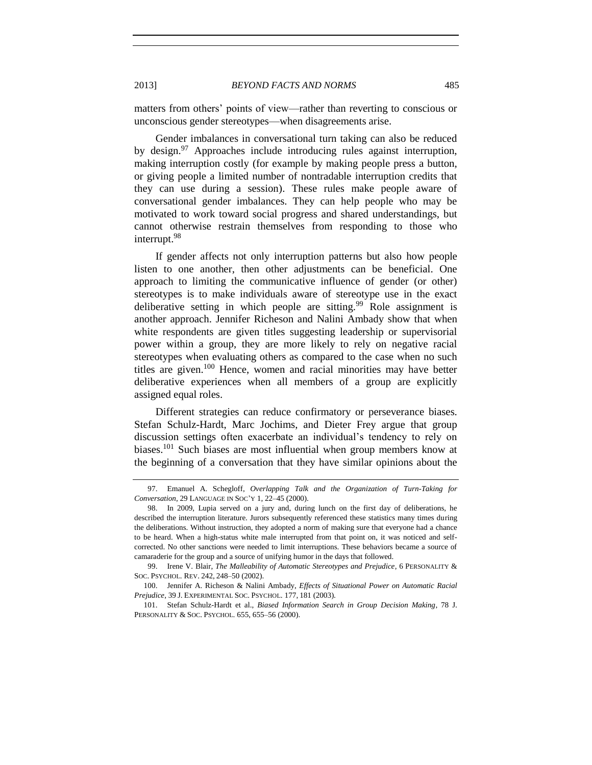matters from others' points of view—rather than reverting to conscious or unconscious gender stereotypes—when disagreements arise.

Gender imbalances in conversational turn taking can also be reduced by design.<sup>97</sup> Approaches include introducing rules against interruption, making interruption costly (for example by making people press a button, or giving people a limited number of nontradable interruption credits that they can use during a session). These rules make people aware of conversational gender imbalances. They can help people who may be motivated to work toward social progress and shared understandings, but cannot otherwise restrain themselves from responding to those who interrupt. 98

If gender affects not only interruption patterns but also how people listen to one another, then other adjustments can be beneficial. One approach to limiting the communicative influence of gender (or other) stereotypes is to make individuals aware of stereotype use in the exact deliberative setting in which people are sitting.<sup>99</sup> Role assignment is another approach. Jennifer Richeson and Nalini Ambady show that when white respondents are given titles suggesting leadership or supervisorial power within a group, they are more likely to rely on negative racial stereotypes when evaluating others as compared to the case when no such titles are given.<sup>100</sup> Hence, women and racial minorities may have better deliberative experiences when all members of a group are explicitly assigned equal roles.

Different strategies can reduce confirmatory or perseverance biases. Stefan Schulz-Hardt, Marc Jochims, and Dieter Frey argue that group discussion settings often exacerbate an individual's tendency to rely on biases.<sup>101</sup> Such biases are most influential when group members know at the beginning of a conversation that they have similar opinions about the

<sup>97.</sup> Emanuel A. Schegloff, *Overlapping Talk and the Organization of Turn-Taking for Conversation*, 29 LANGUAGE IN SOC'Y 1, 22–45 (2000).

<sup>98.</sup> In 2009, Lupia served on a jury and, during lunch on the first day of deliberations, he described the interruption literature. Jurors subsequently referenced these statistics many times during the deliberations. Without instruction, they adopted a norm of making sure that everyone had a chance to be heard. When a high-status white male interrupted from that point on, it was noticed and selfcorrected. No other sanctions were needed to limit interruptions. These behaviors became a source of camaraderie for the group and a source of unifying humor in the days that followed.

<sup>99.</sup> Irene V. Blair, *The Malleability of Automatic Stereotypes and Prejudice*, 6 PERSONALITY & SOC. PSYCHOL. REV. 242, 248–50 (2002).

<sup>100.</sup> Jennifer A. Richeson & Nalini Ambady, *Effects of Situational Power on Automatic Racial Prejudice*, 39 J. EXPERIMENTAL SOC. PSYCHOL. 177, 181 (2003).

<sup>101.</sup> Stefan Schulz-Hardt et al., *Biased Information Search in Group Decision Making*, 78 J. PERSONALITY & SOC. PSYCHOL. 655, 655–56 (2000).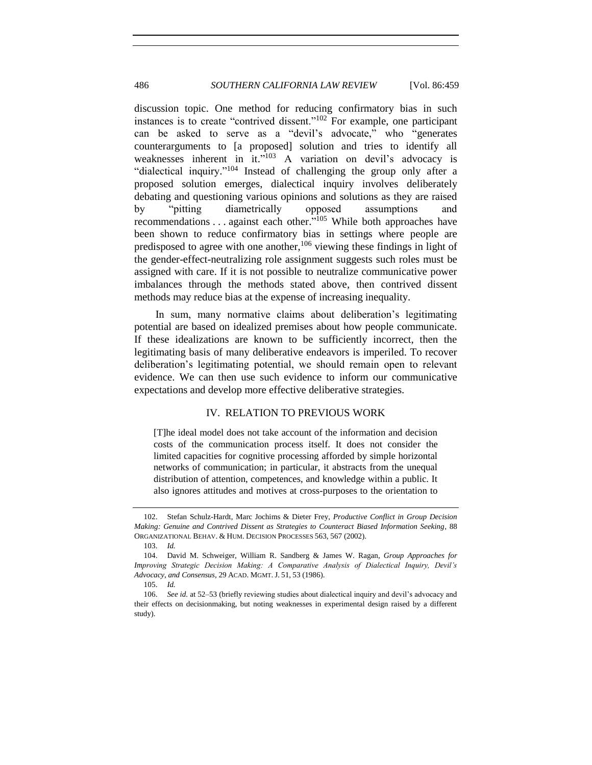discussion topic. One method for reducing confirmatory bias in such instances is to create "contrived dissent."<sup>102</sup> For example, one participant can be asked to serve as a "devil's advocate," who "generates counterarguments to [a proposed] solution and tries to identify all weaknesses inherent in it."<sup>103</sup> A variation on devil's advocacy is "dialectical inquiry."<sup>104</sup> Instead of challenging the group only after a proposed solution emerges, dialectical inquiry involves deliberately debating and questioning various opinions and solutions as they are raised by "pitting diametrically opposed assumptions and recommendations . . . against each other."<sup>105</sup> While both approaches have been shown to reduce confirmatory bias in settings where people are predisposed to agree with one another,  $106$  viewing these findings in light of the gender-effect-neutralizing role assignment suggests such roles must be assigned with care. If it is not possible to neutralize communicative power imbalances through the methods stated above, then contrived dissent methods may reduce bias at the expense of increasing inequality.

In sum, many normative claims about deliberation's legitimating potential are based on idealized premises about how people communicate. If these idealizations are known to be sufficiently incorrect, then the legitimating basis of many deliberative endeavors is imperiled. To recover deliberation's legitimating potential, we should remain open to relevant evidence. We can then use such evidence to inform our communicative expectations and develop more effective deliberative strategies.

## IV. RELATION TO PREVIOUS WORK

[T]he ideal model does not take account of the information and decision costs of the communication process itself. It does not consider the limited capacities for cognitive processing afforded by simple horizontal networks of communication; in particular, it abstracts from the unequal distribution of attention, competences, and knowledge within a public. It also ignores attitudes and motives at cross-purposes to the orientation to

<sup>102.</sup> Stefan Schulz-Hardt, Marc Jochims & Dieter Frey, *Productive Conflict in Group Decision Making: Genuine and Contrived Dissent as Strategies to Counteract Biased Information Seeking*, 88 ORGANIZATIONAL BEHAV. & HUM. DECISION PROCESSES 563, 567 (2002).

<sup>103.</sup> *Id.*

<sup>104.</sup> David M. Schweiger, William R. Sandberg & James W. Ragan, *Group Approaches for Improving Strategic Decision Making: A Comparative Analysis of Dialectical Inquiry, Devil's Advocacy, and Consensus*, 29 ACAD. MGMT. J. 51, 53 (1986).

<sup>105.</sup> *Id.*

<sup>106.</sup> *See id.* at 52–53 (briefly reviewing studies about dialectical inquiry and devil's advocacy and their effects on decisionmaking, but noting weaknesses in experimental design raised by a different study).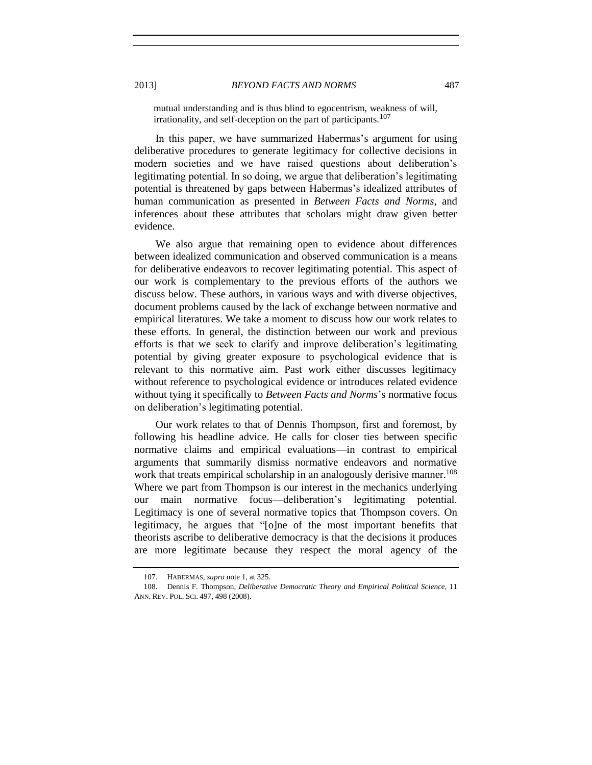mutual understanding and is thus blind to egocentrism, weakness of will, irrationality, and self-deception on the part of participants.<sup>107</sup>

In this paper, we have summarized Habermas's argument for using deliberative procedures to generate legitimacy for collective decisions in modern societies and we have raised questions about deliberation's legitimating potential. In so doing, we argue that deliberation's legitimating potential is threatened by gaps between Habermas's idealized attributes of human communication as presented in *Between Facts and Norms*, and inferences about these attributes that scholars might draw given better evidence.

We also argue that remaining open to evidence about differences between idealized communication and observed communication is a means for deliberative endeavors to recover legitimating potential. This aspect of our work is complementary to the previous efforts of the authors we discuss below. These authors, in various ways and with diverse objectives, document problems caused by the lack of exchange between normative and empirical literatures. We take a moment to discuss how our work relates to these efforts. In general, the distinction between our work and previous efforts is that we seek to clarify and improve deliberation's legitimating potential by giving greater exposure to psychological evidence that is relevant to this normative aim. Past work either discusses legitimacy without reference to psychological evidence or introduces related evidence without tying it specifically to *Between Facts and Norms*'s normative focus on deliberation's legitimating potential.

<span id="page-28-0"></span>Our work relates to that of Dennis Thompson, first and foremost, by following his headline advice. He calls for closer ties between specific normative claims and empirical evaluations—in contrast to empirical arguments that summarily dismiss normative endeavors and normative work that treats empirical scholarship in an analogously derisive manner.<sup>108</sup> Where we part from Thompson is our interest in the mechanics underlying our main normative focus—deliberation's legitimating potential. Legitimacy is one of several normative topics that Thompson covers. On legitimacy, he argues that "[o]ne of the most important benefits that theorists ascribe to deliberative democracy is that the decisions it produces are more legitimate because they respect the moral agency of the

<sup>107.</sup> HABERMAS, *supra* not[e 1,](#page-0-0) at 325.

<sup>108.</sup> Dennis F. Thompson, *Deliberative Democratic Theory and Empirical Political Science*, 11 ANN. REV. POL. SCI. 497, 498 (2008).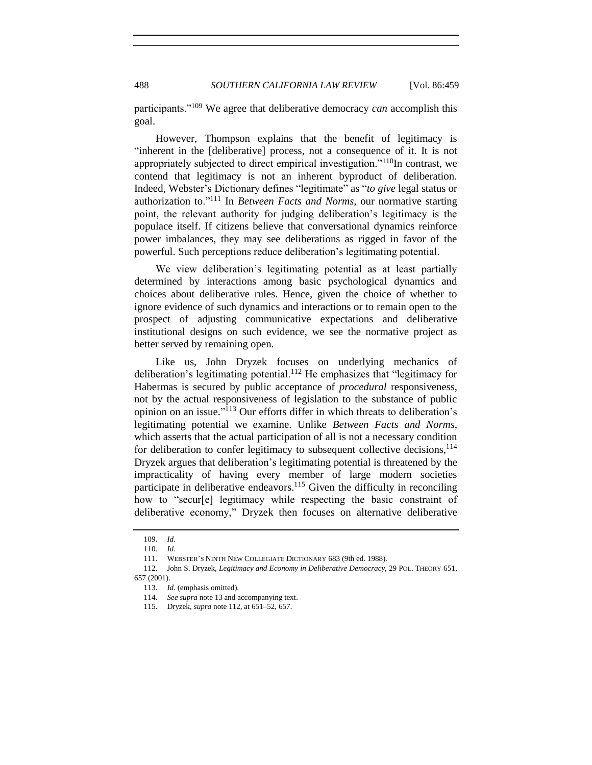participants."<sup>109</sup> We agree that deliberative democracy *can* accomplish this goal.

However, Thompson explains that the benefit of legitimacy is "inherent in the [deliberative] process, not a consequence of it. It is not appropriately subjected to direct empirical investigation."<sup>110</sup>In contrast, we contend that legitimacy is not an inherent byproduct of deliberation. Indeed, Webster's Dictionary defines "legitimate" as "*to give* legal status or authorization to."<sup>111</sup> In *Between Facts and Norms*, our normative starting point, the relevant authority for judging deliberation's legitimacy is the populace itself. If citizens believe that conversational dynamics reinforce power imbalances, they may see deliberations as rigged in favor of the powerful. Such perceptions reduce deliberation's legitimating potential.

We view deliberation's legitimating potential as at least partially determined by interactions among basic psychological dynamics and choices about deliberative rules. Hence, given the choice of whether to ignore evidence of such dynamics and interactions or to remain open to the prospect of adjusting communicative expectations and deliberative institutional designs on such evidence, we see the normative project as better served by remaining open.

<span id="page-29-0"></span>Like us, John Dryzek focuses on underlying mechanics of deliberation's legitimating potential.<sup>112</sup> He emphasizes that "legitimacy for Habermas is secured by public acceptance of *procedural* responsiveness, not by the actual responsiveness of legislation to the substance of public opinion on an issue." <sup>113</sup> Our efforts differ in which threats to deliberation's legitimating potential we examine. Unlike *Between Facts and Norms*, which asserts that the actual participation of all is not a necessary condition for deliberation to confer legitimacy to subsequent collective decisions,  $114$ Dryzek argues that deliberation's legitimating potential is threatened by the impracticality of having every member of large modern societies participate in deliberative endeavors.<sup>115</sup> Given the difficulty in reconciling how to "secur[e] legitimacy while respecting the basic constraint of deliberative economy," Dryzek then focuses on alternative deliberative

<sup>109.</sup> *Id.*

<sup>110.</sup> *Id.*

<sup>111.</sup> WEBSTER'S NINTH NEW COLLEGIATE DICTIONARY 683 (9th ed. 1988).

<sup>112.</sup> John S. Dryzek, *Legitimacy and Economy in Deliberative Democracy*, 29 POL. THEORY 651, 657 (2001).

<sup>113.</sup> *Id.* (emphasis omitted).

<sup>114.</sup> *See supra* not[e 13](#page-6-0) and accompanying text.

<sup>115.</sup> Dryzek, *supra* not[e 112,](#page-29-0) at 651–52, 657.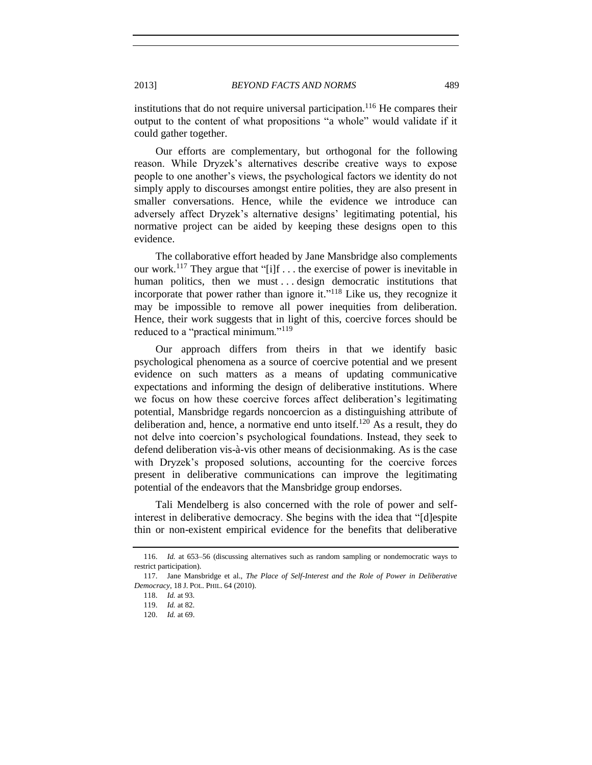institutions that do not require universal participation.<sup>116</sup> He compares their output to the content of what propositions "a whole" would validate if it could gather together.

Our efforts are complementary, but orthogonal for the following reason. While Dryzek's alternatives describe creative ways to expose people to one another's views, the psychological factors we identity do not simply apply to discourses amongst entire polities, they are also present in smaller conversations. Hence, while the evidence we introduce can adversely affect Dryzek's alternative designs' legitimating potential, his normative project can be aided by keeping these designs open to this evidence.

The collaborative effort headed by Jane Mansbridge also complements our work.<sup>117</sup> They argue that "[i]f  $\dots$  the exercise of power is inevitable in human politics, then we must ... design democratic institutions that incorporate that power rather than ignore it."<sup>118</sup> Like us, they recognize it may be impossible to remove all power inequities from deliberation. Hence, their work suggests that in light of this, coercive forces should be reduced to a "practical minimum."<sup>119</sup>

Our approach differs from theirs in that we identify basic psychological phenomena as a source of coercive potential and we present evidence on such matters as a means of updating communicative expectations and informing the design of deliberative institutions. Where we focus on how these coercive forces affect deliberation's legitimating potential, Mansbridge regards noncoercion as a distinguishing attribute of deliberation and, hence, a normative end unto itself.<sup>120</sup> As a result, they do not delve into coercion's psychological foundations. Instead, they seek to defend deliberation vis-à-vis other means of decisionmaking. As is the case with Dryzek's proposed solutions, accounting for the coercive forces present in deliberative communications can improve the legitimating potential of the endeavors that the Mansbridge group endorses.

Tali Mendelberg is also concerned with the role of power and selfinterest in deliberative democracy. She begins with the idea that "[d]espite thin or non-existent empirical evidence for the benefits that deliberative

<sup>116.</sup> *Id.* at 653–56 (discussing alternatives such as random sampling or nondemocratic ways to restrict participation).

<sup>117.</sup> Jane Mansbridge et al., *The Place of Self-Interest and the Role of Power in Deliberative Democracy*, 18 J. POL. PHIL. 64 (2010).

<sup>118.</sup> *Id.* at 93.

<sup>119.</sup> *Id.* at 82.

<sup>120.</sup> *Id.* at 69.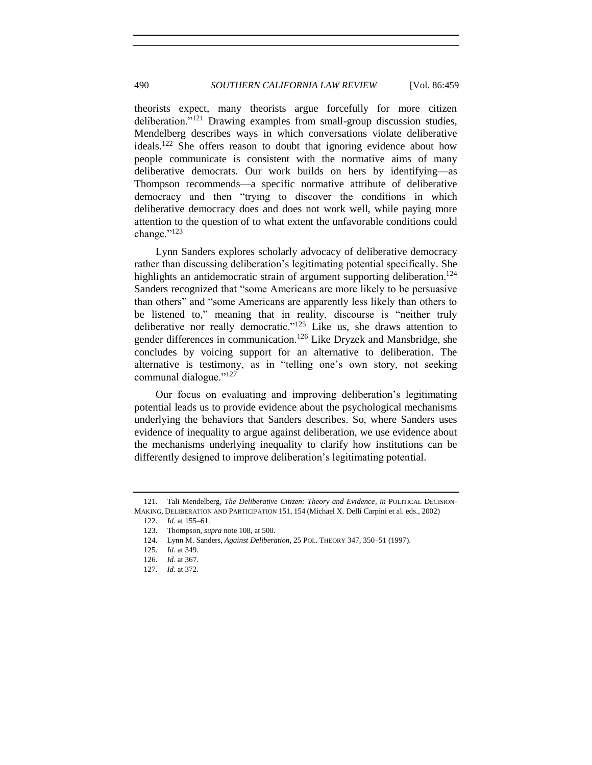theorists expect, many theorists argue forcefully for more citizen deliberation."<sup>121</sup> Drawing examples from small-group discussion studies, Mendelberg describes ways in which conversations violate deliberative ideals.<sup>122</sup> She offers reason to doubt that ignoring evidence about how people communicate is consistent with the normative aims of many deliberative democrats. Our work builds on hers by identifying—as Thompson recommends—a specific normative attribute of deliberative democracy and then "trying to discover the conditions in which deliberative democracy does and does not work well, while paying more attention to the question of to what extent the unfavorable conditions could change."<sup>123</sup>

Lynn Sanders explores scholarly advocacy of deliberative democracy rather than discussing deliberation's legitimating potential specifically. She highlights an antidemocratic strain of argument supporting deliberation.<sup>124</sup> Sanders recognized that "some Americans are more likely to be persuasive than others" and "some Americans are apparently less likely than others to be listened to," meaning that in reality, discourse is "neither truly deliberative nor really democratic."<sup>125</sup> Like us, she draws attention to gender differences in communication.<sup>126</sup> Like Dryzek and Mansbridge, she concludes by voicing support for an alternative to deliberation. The alternative is testimony, as in "telling one's own story, not seeking communal dialogue."<sup>127</sup>

Our focus on evaluating and improving deliberation's legitimating potential leads us to provide evidence about the psychological mechanisms underlying the behaviors that Sanders describes. So, where Sanders uses evidence of inequality to argue against deliberation, we use evidence about the mechanisms underlying inequality to clarify how institutions can be differently designed to improve deliberation's legitimating potential.

<sup>121.</sup> Tali Mendelberg, *The Deliberative Citizen: Theory and Evidence*, *in* POLITICAL DECISION-MAKING, DELIBERATION AND PARTICIPATION 151, 154 (Michael X. Delli Carpini et al. eds., 2002)

<sup>122.</sup> *Id.* at 155–61.

<sup>123.</sup> Thompson, *supra* not[e 108,](#page-28-0) at 500.

<sup>124.</sup> Lynn M. Sanders, *Against Deliberation*, 25 POL. THEORY 347, 350–51 (1997).

<sup>125.</sup> *Id.* at 349.

<sup>126.</sup> *Id.* at 367.

<sup>127.</sup> *Id.* at 372.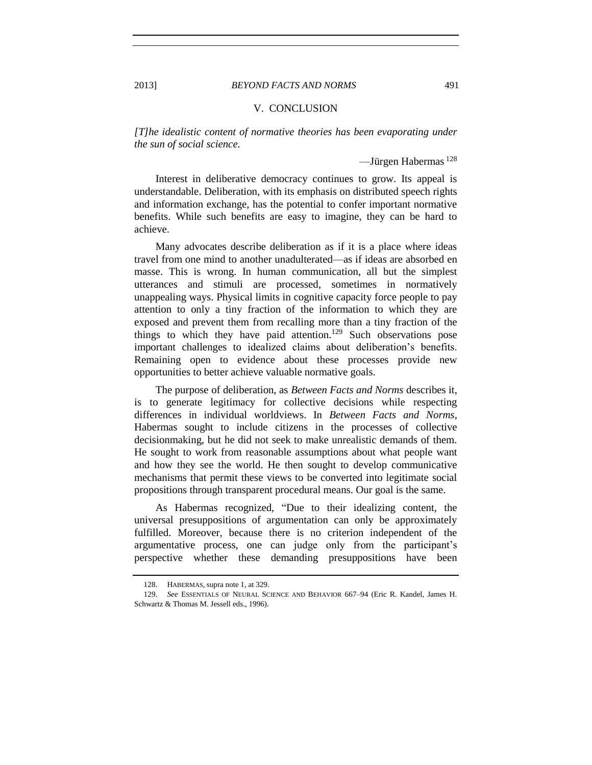### 2013] *BEYOND FACTS AND NORMS* 491

## V. CONCLUSION

*[T]he idealistic content of normative theories has been evaporating under the sun of social science.*

—Jürgen Habermas <sup>128</sup>

Interest in deliberative democracy continues to grow. Its appeal is understandable. Deliberation, with its emphasis on distributed speech rights and information exchange, has the potential to confer important normative benefits. While such benefits are easy to imagine, they can be hard to achieve.

Many advocates describe deliberation as if it is a place where ideas travel from one mind to another unadulterated—as if ideas are absorbed en masse. This is wrong. In human communication, all but the simplest utterances and stimuli are processed, sometimes in normatively unappealing ways. Physical limits in cognitive capacity force people to pay attention to only a tiny fraction of the information to which they are exposed and prevent them from recalling more than a tiny fraction of the things to which they have paid attention.<sup>129</sup> Such observations pose important challenges to idealized claims about deliberation's benefits. Remaining open to evidence about these processes provide new opportunities to better achieve valuable normative goals.

The purpose of deliberation, as *Between Facts and Norms* describes it, is to generate legitimacy for collective decisions while respecting differences in individual worldviews. In *Between Facts and Norms*, Habermas sought to include citizens in the processes of collective decisionmaking, but he did not seek to make unrealistic demands of them. He sought to work from reasonable assumptions about what people want and how they see the world. He then sought to develop communicative mechanisms that permit these views to be converted into legitimate social propositions through transparent procedural means. Our goal is the same.

As Habermas recognized, "Due to their idealizing content, the universal presuppositions of argumentation can only be approximately fulfilled. Moreover, because there is no criterion independent of the argumentative process, one can judge only from the participant's perspective whether these demanding presuppositions have been

<sup>128.</sup> HABERMAS, supra not[e 1,](#page-0-0) at 329.

<sup>129.</sup> *See* ESSENTIALS OF NEURAL SCIENCE AND BEHAVIOR 667–94 (Eric R. Kandel, James H. Schwartz & Thomas M. Jessell eds., 1996).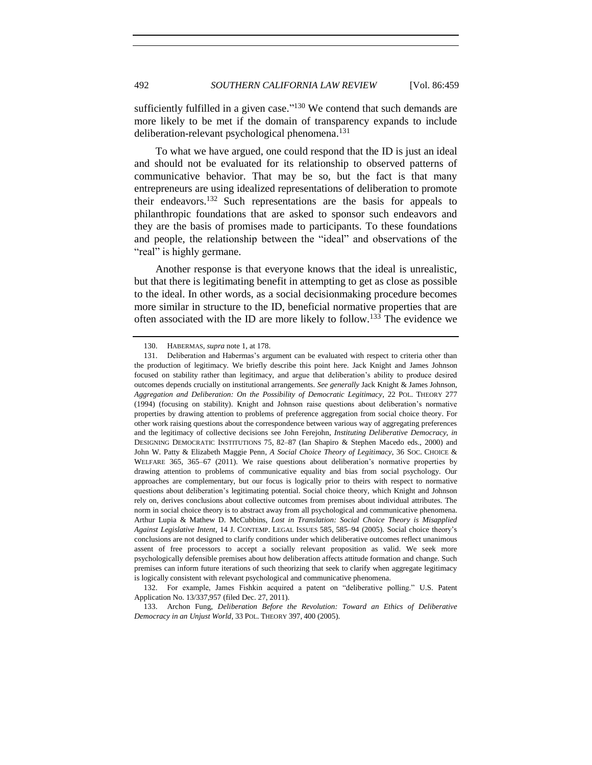sufficiently fulfilled in a given case."<sup>130</sup> We contend that such demands are more likely to be met if the domain of transparency expands to include deliberation-relevant psychological phenomena.<sup>131</sup>

To what we have argued, one could respond that the ID is just an ideal and should not be evaluated for its relationship to observed patterns of communicative behavior. That may be so, but the fact is that many entrepreneurs are using idealized representations of deliberation to promote their endeavors.<sup>132</sup> Such representations are the basis for appeals to philanthropic foundations that are asked to sponsor such endeavors and they are the basis of promises made to participants. To these foundations and people, the relationship between the "ideal" and observations of the "real" is highly germane.

Another response is that everyone knows that the ideal is unrealistic, but that there is legitimating benefit in attempting to get as close as possible to the ideal. In other words, as a social decisionmaking procedure becomes more similar in structure to the ID, beneficial normative properties that are often associated with the ID are more likely to follow.<sup>133</sup> The evidence we

<sup>130.</sup> HABERMAS, *supra* not[e 1,](#page-0-0) at 178.

<sup>131.</sup> Deliberation and Habermas's argument can be evaluated with respect to criteria other than the production of legitimacy. We briefly describe this point here. Jack Knight and James Johnson focused on stability rather than legitimacy, and argue that deliberation's ability to produce desired outcomes depends crucially on institutional arrangements. *See generally* Jack Knight & James Johnson, *Aggregation and Deliberation: On the Possibility of Democratic Legitimacy*, 22 POL. THEORY 277 (1994) (focusing on stability). Knight and Johnson raise questions about deliberation's normative properties by drawing attention to problems of preference aggregation from social choice theory. For other work raising questions about the correspondence between various way of aggregating preferences and the legitimacy of collective decisions see John Ferejohn, *Instituting Deliberative Democracy*, *in*  DESIGNING DEMOCRATIC INSTITUTIONS 75, 82–87 (Ian Shapiro & Stephen Macedo eds., 2000) and John W. Patty & Elizabeth Maggie Penn, *A Social Choice Theory of Legitimacy*, 36 SOC. CHOICE & WELFARE 365, 365–67 (2011). We raise questions about deliberation's normative properties by drawing attention to problems of communicative equality and bias from social psychology. Our approaches are complementary, but our focus is logically prior to theirs with respect to normative questions about deliberation's legitimating potential. Social choice theory, which Knight and Johnson rely on, derives conclusions about collective outcomes from premises about individual attributes. The norm in social choice theory is to abstract away from all psychological and communicative phenomena. Arthur Lupia & Mathew D. McCubbins, *Lost in Translation: Social Choice Theory is Misapplied Against Legislative Intent*, 14 J. CONTEMP. LEGAL ISSUES 585, 585–94 (2005). Social choice theory's conclusions are not designed to clarify conditions under which deliberative outcomes reflect unanimous assent of free processors to accept a socially relevant proposition as valid. We seek more psychologically defensible premises about how deliberation affects attitude formation and change. Such premises can inform future iterations of such theorizing that seek to clarify when aggregate legitimacy is logically consistent with relevant psychological and communicative phenomena.

<sup>132.</sup> For example, James Fishkin acquired a patent on "deliberative polling." U.S. Patent Application No. 13/337,957 (filed Dec. 27, 2011).

<sup>133.</sup> Archon Fung, *Deliberation Before the Revolution: Toward an Ethics of Deliberative Democracy in an Unjust World*, 33 POL. THEORY 397, 400 (2005).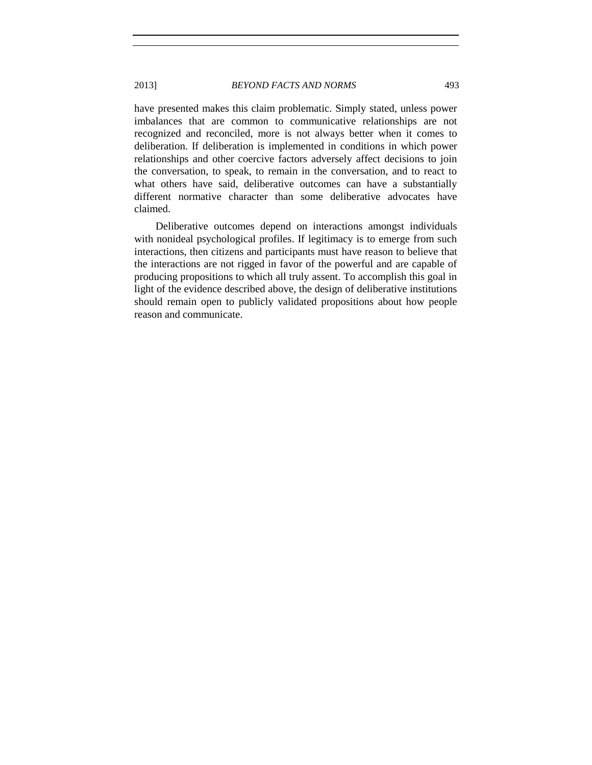have presented makes this claim problematic. Simply stated, unless power imbalances that are common to communicative relationships are not recognized and reconciled, more is not always better when it comes to deliberation. If deliberation is implemented in conditions in which power relationships and other coercive factors adversely affect decisions to join the conversation, to speak, to remain in the conversation, and to react to what others have said, deliberative outcomes can have a substantially different normative character than some deliberative advocates have claimed.

Deliberative outcomes depend on interactions amongst individuals with nonideal psychological profiles. If legitimacy is to emerge from such interactions, then citizens and participants must have reason to believe that the interactions are not rigged in favor of the powerful and are capable of producing propositions to which all truly assent. To accomplish this goal in light of the evidence described above, the design of deliberative institutions should remain open to publicly validated propositions about how people reason and communicate.